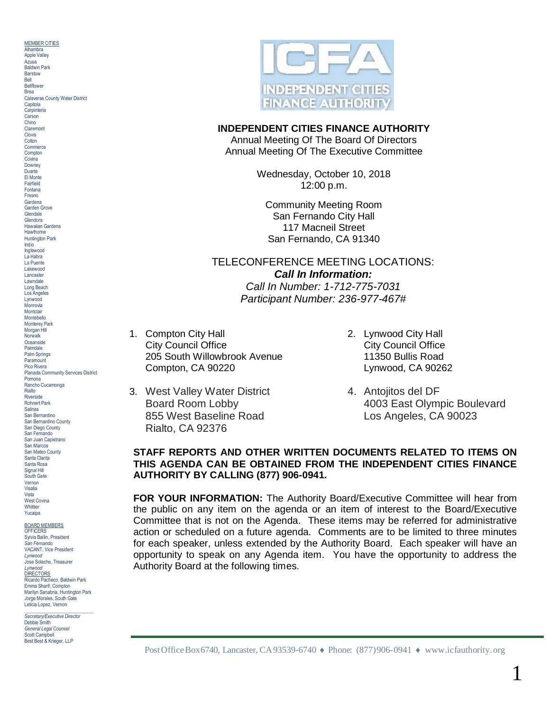MEMBER CITIES **Alhambra** Apple Valley Azusa Baldwin Park **Barstow** Bell Bellflower Brea Calaveras County Water District **Capitola** Carpinteria Carson Chino Claremont Clovis **Colton Commerce** Compton Covina **Downey** Duarte El Monte Fairfield Fontana Fresno Gardena Garden Grove **Glendale** Glendora Hawaiian Gardens **Hawthorne** Huntington Park Indio Inglewood La Habra La Puente Lakewood Lancaster Lawndale Long Beach Los Angeles Lynwood Monrovia **Montclair** Montebello Monterey Park Morgan Hill **Norwalk Oceanside** Palmdale Palm Springs **Paramount** Pico Rivera Planada Community Services District Pomona Rancho Cucamonga Rialto **Riverside** Rohnert Park Salinas San Bernardino San Bernardino County San Diego County San Fernando San Juan Capistrano San Marcos San Mateo County Santa Clarita Santa Rosa Signal Hill South Gate Vernon Visalia Vista West Covina Whittier Yucaina BOARD MEMBERS

**OFFICERS** Sylvia Ballin, President *San Fernando* VACANT, Vice President *Lynwood* Jose Solache, Treasurer *Lynwood* **DIRECTORS** Ricardo Pacheco, Baldwin Park Emma Sharif, Compton Marilyn Sanabria, Huntington Park Jorge Morales, South Gate Leticia Lopez, Vernon

\_\_\_\_\_\_\_\_\_\_\_\_\_\_\_\_\_\_\_\_\_\_\_\_\_\_\_\_ *Secretary/Executive Director* Debbie Smith *General Legal Counsel* Scott Campbell Best Best & Krieger, LLP



## **INDEPENDENT CITIES FINANCE AUTHORITY**

Annual Meeting Of The Board Of Directors Annual Meeting Of The Executive Committee

> Wednesday, October 10, 2018 12:00 p.m.

Community Meeting Room San Fernando City Hall 117 Macneil Street San Fernando, CA 91340

# TELECONFERENCE MEETING LOCATIONS: *Call In Information:*

*Call In Number: 1-712-775-7031 Participant Number: 236-977-467#*

- 1. Compton City Hall 2. Lynwood City Hall **City Council Office City Council Office** 205 South Willowbrook Avenue 11350 Bullis Road Compton, CA 90220 Lynwood, CA 90262
- 3. West Valley Water District **4. Antojitos del DF** Rialto, CA 92376
- 
- Board Room Lobby 4003 East Olympic Boulevard 855 West Baseline Road Los Angeles, CA 90023

## **STAFF REPORTS AND OTHER WRITTEN DOCUMENTS RELATED TO ITEMS ON THIS AGENDA CAN BE OBTAINED FROM THE INDEPENDENT CITIES FINANCE AUTHORITY BY CALLING (877) 906-0941.**

**FOR YOUR INFORMATION:** The Authority Board/Executive Committee will hear from the public on any item on the agenda or an item of interest to the Board/Executive Committee that is not on the Agenda. These items may be referred for administrative action or scheduled on a future agenda. Comments are to be limited to three minutes for each speaker, unless extended by the Authority Board. Each speaker will have an opportunity to speak on any Agenda item. You have the opportunity to address the Authority Board at the following times.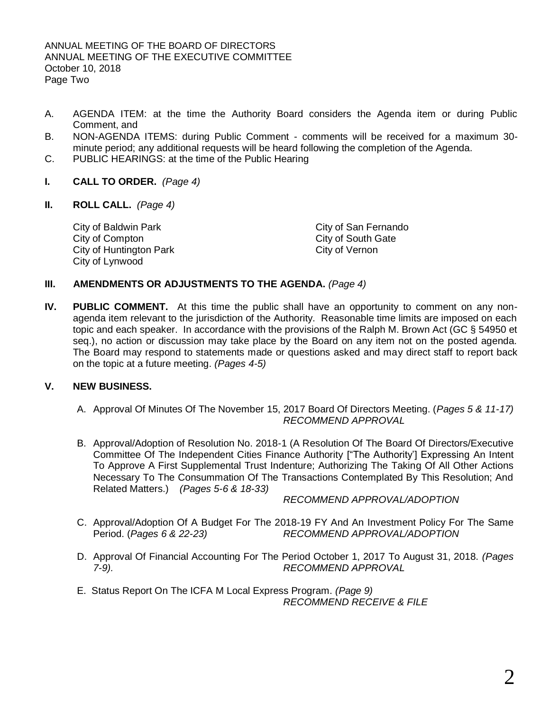- A. AGENDA ITEM: at the time the Authority Board considers the Agenda item or during Public Comment, and
- B. NON-AGENDA ITEMS: during Public Comment comments will be received for a maximum 30 minute period; any additional requests will be heard following the completion of the Agenda.
- C. PUBLIC HEARINGS: at the time of the Public Hearing
- **I. CALL TO ORDER.** *(Page 4)*
- **II. ROLL CALL.** *(Page 4)*

City of Baldwin Park City of San Fernando<br>City of Compton City of South Gate City of Huntington Park City of Vernon City of Lynwood

City of South Gate

## **III. AMENDMENTS OR ADJUSTMENTS TO THE AGENDA.** *(Page 4)*

**IV. PUBLIC COMMENT.** At this time the public shall have an opportunity to comment on any nonagenda item relevant to the jurisdiction of the Authority. Reasonable time limits are imposed on each topic and each speaker. In accordance with the provisions of the Ralph M. Brown Act (GC § 54950 et seq.), no action or discussion may take place by the Board on any item not on the posted agenda. The Board may respond to statements made or questions asked and may direct staff to report back on the topic at a future meeting. *(Pages 4-5)*

## **V. NEW BUSINESS.**

- A. Approval Of Minutes Of The November 15, 2017 Board Of Directors Meeting. (*Pages 5 & 11-17) RECOMMEND APPROVAL*
- B. Approval/Adoption of Resolution No. 2018-1 (A Resolution Of The Board Of Directors/Executive Committee Of The Independent Cities Finance Authority ["The Authority'] Expressing An Intent To Approve A First Supplemental Trust Indenture; Authorizing The Taking Of All Other Actions Necessary To The Consummation Of The Transactions Contemplated By This Resolution; And Related Matters.) *(Pages 5-6 & 18-33)*

*RECOMMEND APPROVAL/ADOPTION*

- C. Approval/Adoption Of A Budget For The 2018-19 FY And An Investment Policy For The Same Period. (*Pages 6 & 22-23) RECOMMEND APPROVAL/ADOPTION*
- D. Approval Of Financial Accounting For The Period October 1, 2017 To August 31, 2018. *(Pages 7-9). RECOMMEND APPROVAL*
- E. Status Report On The ICFA M Local Express Program. *(Page 9) RECOMMEND RECEIVE & FILE*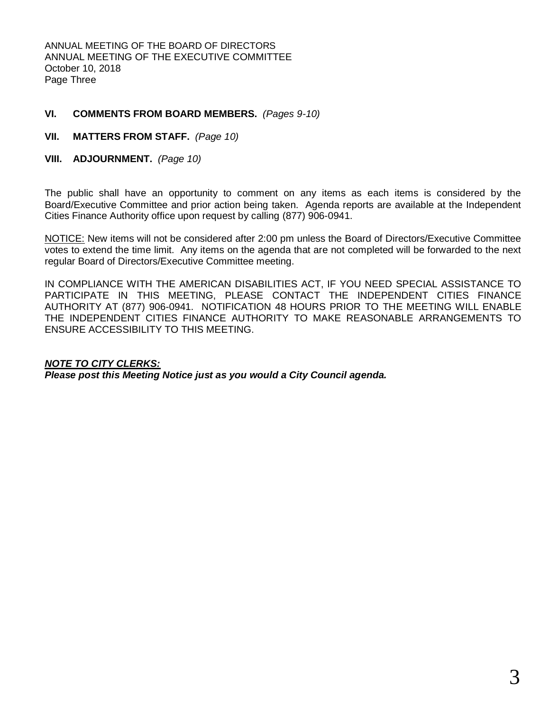ANNUAL MEETING OF THE BOARD OF DIRECTORS ANNUAL MEETING OF THE EXECUTIVE COMMITTEE October 10, 2018 Page Three

## **VI. COMMENTS FROM BOARD MEMBERS.** *(Pages 9-10)*

## **VII. MATTERS FROM STAFF.** *(Page 10)*

## **VIII. ADJOURNMENT.** *(Page 10)*

The public shall have an opportunity to comment on any items as each items is considered by the Board/Executive Committee and prior action being taken. Agenda reports are available at the Independent Cities Finance Authority office upon request by calling (877) 906-0941.

NOTICE: New items will not be considered after 2:00 pm unless the Board of Directors/Executive Committee votes to extend the time limit. Any items on the agenda that are not completed will be forwarded to the next regular Board of Directors/Executive Committee meeting.

IN COMPLIANCE WITH THE AMERICAN DISABILITIES ACT, IF YOU NEED SPECIAL ASSISTANCE TO PARTICIPATE IN THIS MEETING, PLEASE CONTACT THE INDEPENDENT CITIES FINANCE AUTHORITY AT (877) 906-0941. NOTIFICATION 48 HOURS PRIOR TO THE MEETING WILL ENABLE THE INDEPENDENT CITIES FINANCE AUTHORITY TO MAKE REASONABLE ARRANGEMENTS TO ENSURE ACCESSIBILITY TO THIS MEETING.

### *NOTE TO CITY CLERKS:*

*Please post this Meeting Notice just as you would a City Council agenda.*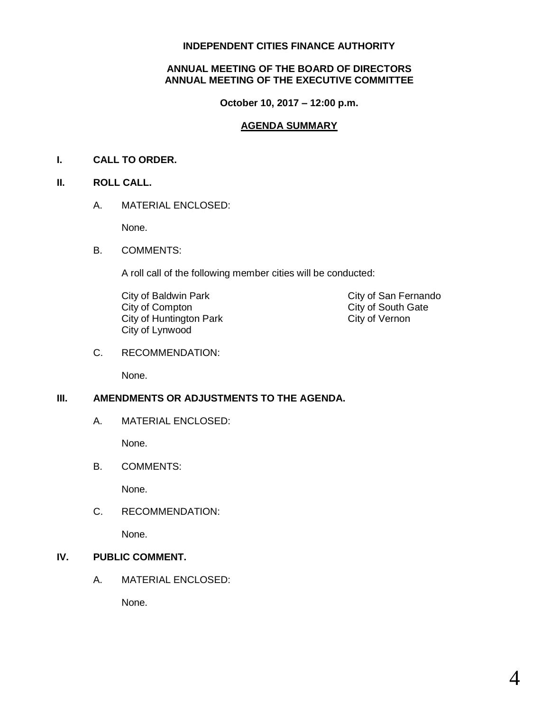## **INDEPENDENT CITIES FINANCE AUTHORITY**

## **ANNUAL MEETING OF THE BOARD OF DIRECTORS ANNUAL MEETING OF THE EXECUTIVE COMMITTEE**

**October 10, 2017 – 12:00 p.m.**

## **AGENDA SUMMARY**

## **I. CALL TO ORDER.**

## **II. ROLL CALL.**

A. MATERIAL ENCLOSED:

None.

B. COMMENTS:

A roll call of the following member cities will be conducted:

City of Baldwin Park City of San Fernando<br>City of Compton City of South Gate City of Huntington Park City of Lynwood

City of South Gate<br>City of Vernon

C. RECOMMENDATION:

None.

## **III. AMENDMENTS OR ADJUSTMENTS TO THE AGENDA.**

A. MATERIAL ENCLOSED:

None.

B. COMMENTS:

None.

C. RECOMMENDATION:

None.

## **IV. PUBLIC COMMENT.**

A. MATERIAL ENCLOSED:

None.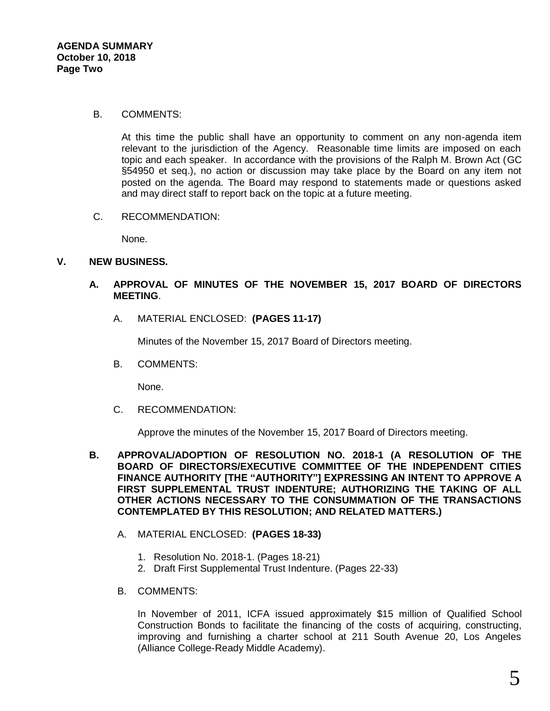### B. COMMENTS:

At this time the public shall have an opportunity to comment on any non-agenda item relevant to the jurisdiction of the Agency. Reasonable time limits are imposed on each topic and each speaker. In accordance with the provisions of the Ralph M. Brown Act (GC §54950 et seq.), no action or discussion may take place by the Board on any item not posted on the agenda. The Board may respond to statements made or questions asked and may direct staff to report back on the topic at a future meeting.

C. RECOMMENDATION:

None.

## **V. NEW BUSINESS.**

## **A. APPROVAL OF MINUTES OF THE NOVEMBER 15, 2017 BOARD OF DIRECTORS MEETING**.

A. MATERIAL ENCLOSED: **(PAGES 11-17)**

Minutes of the November 15, 2017 Board of Directors meeting.

B. COMMENTS:

None.

C. RECOMMENDATION:

Approve the minutes of the November 15, 2017 Board of Directors meeting.

- **B. APPROVAL/ADOPTION OF RESOLUTION NO. 2018-1 (A RESOLUTION OF THE BOARD OF DIRECTORS/EXECUTIVE COMMITTEE OF THE INDEPENDENT CITIES FINANCE AUTHORITY [THE "AUTHORITY"] EXPRESSING AN INTENT TO APPROVE A FIRST SUPPLEMENTAL TRUST INDENTURE; AUTHORIZING THE TAKING OF ALL OTHER ACTIONS NECESSARY TO THE CONSUMMATION OF THE TRANSACTIONS CONTEMPLATED BY THIS RESOLUTION; AND RELATED MATTERS.)**
	- A. MATERIAL ENCLOSED: **(PAGES 18-33)**
		- 1. Resolution No. 2018-1. (Pages 18-21)
		- 2. Draft First Supplemental Trust Indenture. (Pages 22-33)
	- B. COMMENTS:

In November of 2011, ICFA issued approximately \$15 million of Qualified School Construction Bonds to facilitate the financing of the costs of acquiring, constructing, improving and furnishing a charter school at 211 South Avenue 20, Los Angeles (Alliance College-Ready Middle Academy).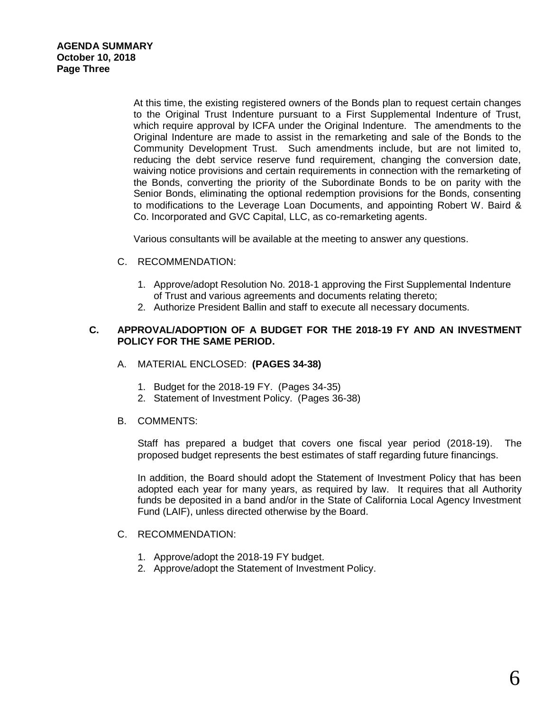At this time, the existing registered owners of the Bonds plan to request certain changes to the Original Trust Indenture pursuant to a First Supplemental Indenture of Trust, which require approval by ICFA under the Original Indenture. The amendments to the Original Indenture are made to assist in the remarketing and sale of the Bonds to the Community Development Trust. Such amendments include, but are not limited to, reducing the debt service reserve fund requirement, changing the conversion date, waiving notice provisions and certain requirements in connection with the remarketing of the Bonds, converting the priority of the Subordinate Bonds to be on parity with the Senior Bonds, eliminating the optional redemption provisions for the Bonds, consenting to modifications to the Leverage Loan Documents, and appointing Robert W. Baird & Co. Incorporated and GVC Capital, LLC, as co-remarketing agents.

Various consultants will be available at the meeting to answer any questions.

### C. RECOMMENDATION:

- 1. Approve/adopt Resolution No. 2018-1 approving the First Supplemental Indenture of Trust and various agreements and documents relating thereto;
- 2. Authorize President Ballin and staff to execute all necessary documents.

## **C. APPROVAL/ADOPTION OF A BUDGET FOR THE 2018-19 FY AND AN INVESTMENT POLICY FOR THE SAME PERIOD.**

- A. MATERIAL ENCLOSED: **(PAGES 34-38)**
	- 1. Budget for the 2018-19 FY. (Pages 34-35)
	- 2. Statement of Investment Policy. (Pages 36-38)
- B. COMMENTS:

Staff has prepared a budget that covers one fiscal year period (2018-19). The proposed budget represents the best estimates of staff regarding future financings.

In addition, the Board should adopt the Statement of Investment Policy that has been adopted each year for many years, as required by law. It requires that all Authority funds be deposited in a band and/or in the State of California Local Agency Investment Fund (LAIF), unless directed otherwise by the Board.

## C. RECOMMENDATION:

- 1. Approve/adopt the 2018-19 FY budget.
- 2. Approve/adopt the Statement of Investment Policy.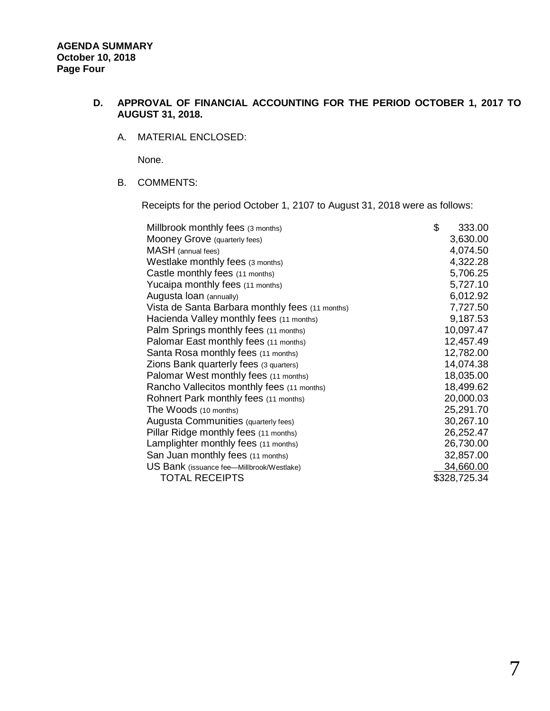## **D. APPROVAL OF FINANCIAL ACCOUNTING FOR THE PERIOD OCTOBER 1, 2017 TO AUGUST 31, 2018.**

### A. MATERIAL ENCLOSED:

None.

## B. COMMENTS:

Receipts for the period October 1, 2107 to August 31, 2018 were as follows:

| 333.00       |
|--------------|
| 3,630.00     |
| 4,074.50     |
| 4,322.28     |
| 5,706.25     |
| 5,727.10     |
| 6,012.92     |
| 7,727.50     |
| 9,187.53     |
| 10,097.47    |
| 12,457.49    |
| 12,782.00    |
| 14,074.38    |
| 18,035.00    |
| 18,499.62    |
| 20,000.03    |
| 25,291.70    |
| 30,267.10    |
| 26,252.47    |
| 26,730.00    |
| 32,857.00    |
| 34,660.00    |
| \$328,725.34 |
| \$           |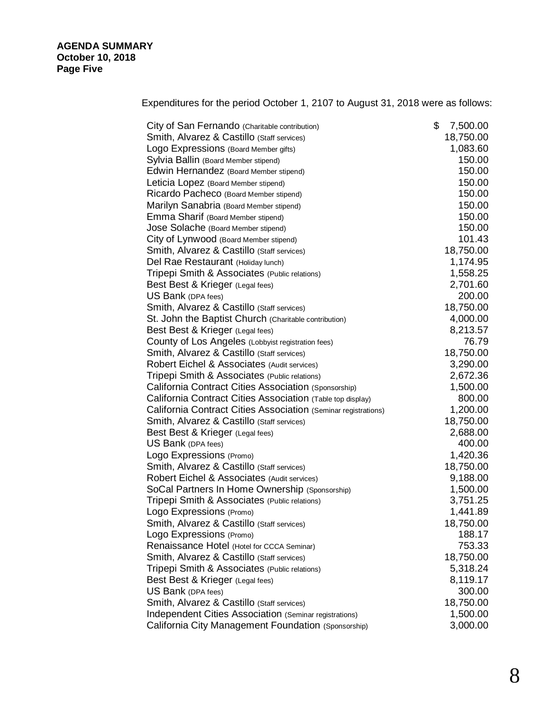Expenditures for the period October 1, 2107 to August 31, 2018 were as follows:

| City of San Fernando (Charitable contribution)                 | \$<br>7,500.00 |
|----------------------------------------------------------------|----------------|
| Smith, Alvarez & Castillo (Staff services)                     | 18,750.00      |
| Logo Expressions (Board Member gifts)                          | 1,083.60       |
| Sylvia Ballin (Board Member stipend)                           | 150.00         |
| Edwin Hernandez (Board Member stipend)                         | 150.00         |
| Leticia Lopez (Board Member stipend)                           | 150.00         |
| Ricardo Pacheco (Board Member stipend)                         | 150.00         |
| Marilyn Sanabria (Board Member stipend)                        | 150.00         |
| Emma Sharif (Board Member stipend)                             | 150.00         |
| Jose Solache (Board Member stipend)                            | 150.00         |
| City of Lynwood (Board Member stipend)                         | 101.43         |
| Smith, Alvarez & Castillo (Staff services)                     | 18,750.00      |
| Del Rae Restaurant (Holiday lunch)                             | 1,174.95       |
| Tripepi Smith & Associates (Public relations)                  | 1,558.25       |
| Best Best & Krieger (Legal fees)                               | 2,701.60       |
| US Bank (DPA fees)                                             | 200.00         |
| Smith, Alvarez & Castillo (Staff services)                     | 18,750.00      |
| St. John the Baptist Church (Charitable contribution)          | 4,000.00       |
| Best Best & Krieger (Legal fees)                               | 8,213.57       |
| County of Los Angeles (Lobbyist registration fees)             | 76.79          |
| Smith, Alvarez & Castillo (Staff services)                     | 18,750.00      |
| Robert Eichel & Associates (Audit services)                    | 3,290.00       |
| Tripepi Smith & Associates (Public relations)                  | 2,672.36       |
| California Contract Cities Association (Sponsorship)           | 1,500.00       |
| California Contract Cities Association (Table top display)     | 800.00         |
| California Contract Cities Association (Seminar registrations) | 1,200.00       |
| Smith, Alvarez & Castillo (Staff services)                     | 18,750.00      |
| Best Best & Krieger (Legal fees)                               | 2,688.00       |
| US Bank (DPA fees)                                             | 400.00         |
| Logo Expressions (Promo)                                       | 1,420.36       |
| Smith, Alvarez & Castillo (Staff services)                     | 18,750.00      |
| Robert Eichel & Associates (Audit services)                    | 9,188.00       |
| SoCal Partners In Home Ownership (Sponsorship)                 | 1,500.00       |
| Tripepi Smith & Associates (Public relations)                  | 3,751.25       |
| Logo Expressions (Promo)                                       | 1,441.89       |
| Smith, Alvarez & Castillo (Staff services)                     | 18,750.00      |
| Logo Expressions (Promo)                                       | 188.17         |
| Renaissance Hotel (Hotel for CCCA Seminar)                     | 753.33         |
| Smith, Alvarez & Castillo (Staff services)                     | 18,750.00      |
| Tripepi Smith & Associates (Public relations)                  | 5,318.24       |
| Best Best & Krieger (Legal fees)                               | 8,119.17       |
| US Bank (DPA fees)                                             | 300.00         |
| Smith, Alvarez & Castillo (Staff services)                     | 18,750.00      |
| Independent Cities Association (Seminar registrations)         | 1,500.00       |
| California City Management Foundation (Sponsorship)            | 3,000.00       |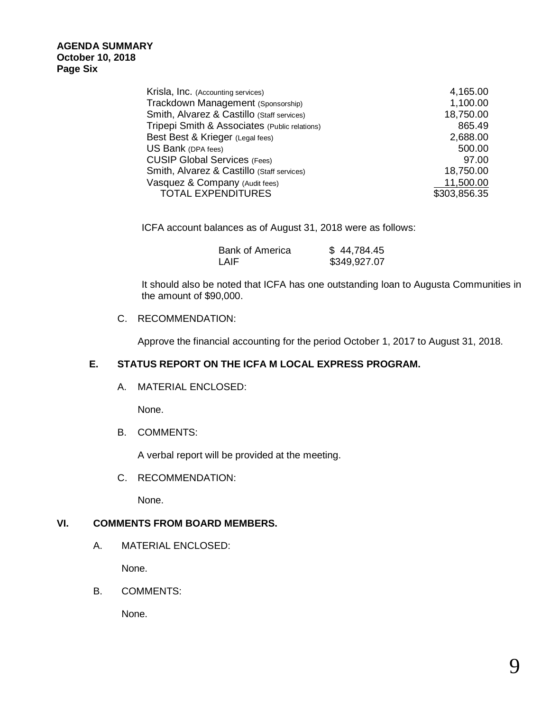| Krisla, Inc. (Accounting services)            | 4,165.00     |
|-----------------------------------------------|--------------|
| Trackdown Management (Sponsorship)            | 1,100.00     |
| Smith, Alvarez & Castillo (Staff services)    | 18,750.00    |
| Tripepi Smith & Associates (Public relations) | 865.49       |
| Best Best & Krieger (Legal fees)              | 2,688.00     |
| US Bank (DPA fees)                            | 500.00       |
| <b>CUSIP Global Services (Fees)</b>           | 97.00        |
| Smith, Alvarez & Castillo (Staff services)    | 18,750.00    |
| Vasquez & Company (Audit fees)                | 11,500.00    |
| <b>TOTAL EXPENDITURES</b>                     | \$303,856.35 |

ICFA account balances as of August 31, 2018 were as follows:

| <b>Bank of America</b> | \$44,784.45  |
|------------------------|--------------|
| I AIF                  | \$349,927.07 |

It should also be noted that ICFA has one outstanding loan to Augusta Communities in the amount of \$90,000.

## C. RECOMMENDATION:

Approve the financial accounting for the period October 1, 2017 to August 31, 2018.

## **E. STATUS REPORT ON THE ICFA M LOCAL EXPRESS PROGRAM.**

A. MATERIAL ENCLOSED:

None.

B. COMMENTS:

A verbal report will be provided at the meeting.

C. RECOMMENDATION:

None.

## **VI. COMMENTS FROM BOARD MEMBERS.**

A. MATERIAL ENCLOSED:

None.

B. COMMENTS:

None.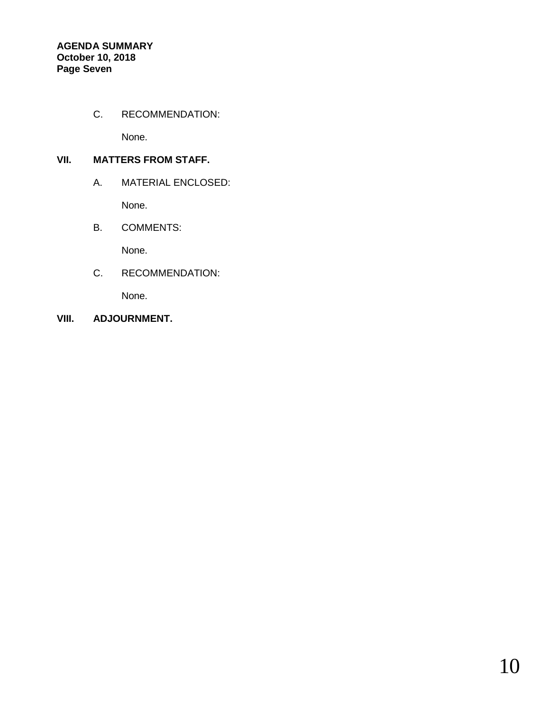## C. RECOMMENDATION:

None.

## **VII. MATTERS FROM STAFF.**

## A. MATERIAL ENCLOSED:

None.

B. COMMENTS:

None.

C. RECOMMENDATION:

None.

**VIII. ADJOURNMENT.**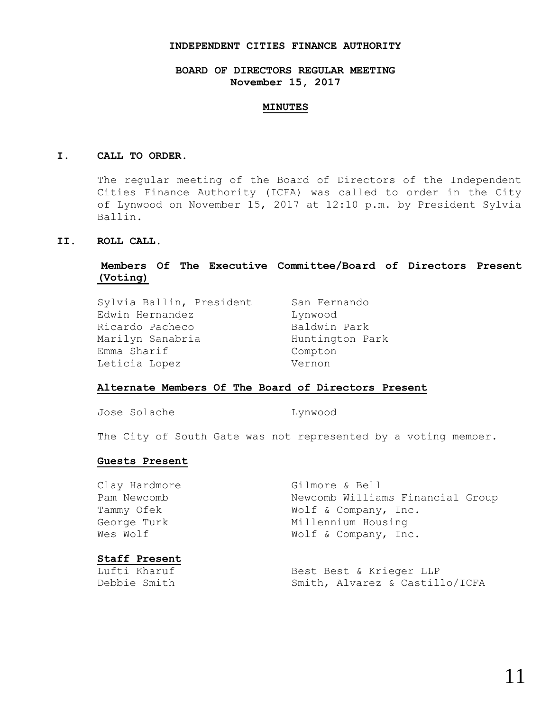#### **INDEPENDENT CITIES FINANCE AUTHORITY**

### **BOARD OF DIRECTORS REGULAR MEETING November 15, 2017**

#### **MINUTES**

#### **I. CALL TO ORDER.**

The regular meeting of the Board of Directors of the Independent Cities Finance Authority (ICFA) was called to order in the City of Lynwood on November 15, 2017 at 12:10 p.m. by President Sylvia Ballin.

#### **II. ROLL CALL.**

### **Members Of The Executive Committee/Board of Directors Present (Voting)**

| Sylvia Ballin, President | San Fernando    |
|--------------------------|-----------------|
| Edwin Hernandez          | Lynwood         |
| Ricardo Pacheco          | Baldwin Park    |
| Marilyn Sanabria         | Huntington Park |
| Emma Sharif              | Compton         |
| Leticia Lopez            | Vernon          |

### **Alternate Members Of The Board of Directors Present**

Jose Solache Lynwood

The City of South Gate was not represented by a voting member.

#### **Guests Present**

| $C + 2F$ Dragant |                                  |
|------------------|----------------------------------|
| Wes Wolf         | Wolf & Company, Inc.             |
| George Turk      | Millennium Housing               |
| Tammy Ofek       | Wolf & Company, Inc.             |
| Pam Newcomb      | Newcomb Williams Financial Group |
| Clay Hardmore    | Gilmore & Bell                   |

## **Staff Present**

Lufti Kharuf **Best Best & Krieger LLP** Debbie Smith Smith, Alvarez & Castillo/ICFA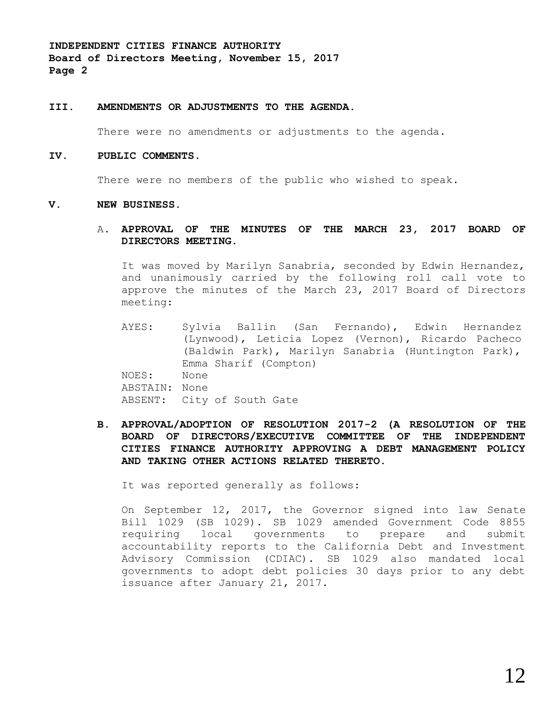**INDEPENDENT CITIES FINANCE AUTHORITY Board of Directors Meeting, November 15, 2017 Page 2**

#### **III. AMENDMENTS OR ADJUSTMENTS TO THE AGENDA.**

There were no amendments or adjustments to the agenda.

#### **IV. PUBLIC COMMENTS.**

There were no members of the public who wished to speak.

#### **V. NEW BUSINESS.**

#### A. **APPROVAL OF THE MINUTES OF THE MARCH 23, 2017 BOARD OF DIRECTORS MEETING.**

It was moved by Marilyn Sanabria, seconded by Edwin Hernandez, and unanimously carried by the following roll call vote to approve the minutes of the March 23, 2017 Board of Directors meeting:

- AYES: Sylvia Ballin (San Fernando), Edwin Hernandez (Lynwood), Leticia Lopez (Vernon), Ricardo Pacheco (Baldwin Park), Marilyn Sanabria (Huntington Park), Emma Sharif (Compton) NOES: None ABSTAIN: None ABSENT: City of South Gate
- **B. APPROVAL/ADOPTION OF RESOLUTION 2017-2 (A RESOLUTION OF THE BOARD OF DIRECTORS/EXECUTIVE COMMITTEE OF THE INDEPENDENT CITIES FINANCE AUTHORITY APPROVING A DEBT MANAGEMENT POLICY AND TAKING OTHER ACTIONS RELATED THERETO.**

It was reported generally as follows:

On September 12, 2017, the Governor signed into law Senate Bill 1029 (SB 1029). SB 1029 amended Government Code 8855 requiring local governments to prepare and submit accountability reports to the California Debt and Investment Advisory Commission (CDIAC). SB 1029 also mandated local governments to adopt debt policies 30 days prior to any debt issuance after January 21, 2017.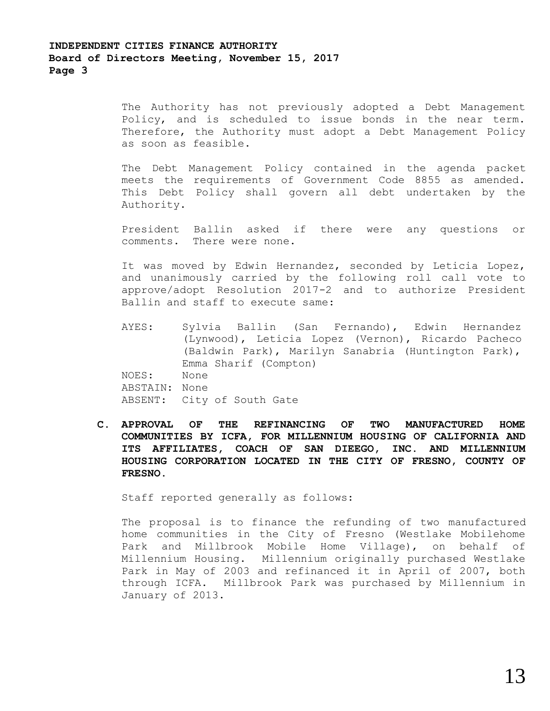The Authority has not previously adopted a Debt Management Policy, and is scheduled to issue bonds in the near term. Therefore, the Authority must adopt a Debt Management Policy as soon as feasible.

The Debt Management Policy contained in the agenda packet meets the requirements of Government Code 8855 as amended. This Debt Policy shall govern all debt undertaken by the Authority.

President Ballin asked if there were any questions or comments. There were none.

It was moved by Edwin Hernandez, seconded by Leticia Lopez, and unanimously carried by the following roll call vote to approve/adopt Resolution 2017-2 and to authorize President Ballin and staff to execute same:

- AYES: Sylvia Ballin (San Fernando), Edwin Hernandez (Lynwood), Leticia Lopez (Vernon), Ricardo Pacheco (Baldwin Park), Marilyn Sanabria (Huntington Park), Emma Sharif (Compton) NOES: None ABSTAIN: None ABSENT: City of South Gate
- **C. APPROVAL OF THE REFINANCING OF TWO MANUFACTURED HOME COMMUNITIES BY ICFA, FOR MILLENNIUM HOUSING OF CALIFORNIA AND ITS AFFILIATES, COACH OF SAN DIEEGO, INC. AND MILLENNIUM HOUSING CORPORATION LOCATED IN THE CITY OF FRESNO, COUNTY OF FRESNO.**

Staff reported generally as follows:

The proposal is to finance the refunding of two manufactured home communities in the City of Fresno (Westlake Mobilehome Park and Millbrook Mobile Home Village), on behalf of Millennium Housing. Millennium originally purchased Westlake Park in May of 2003 and refinanced it in April of 2007, both through ICFA. Millbrook Park was purchased by Millennium in January of 2013.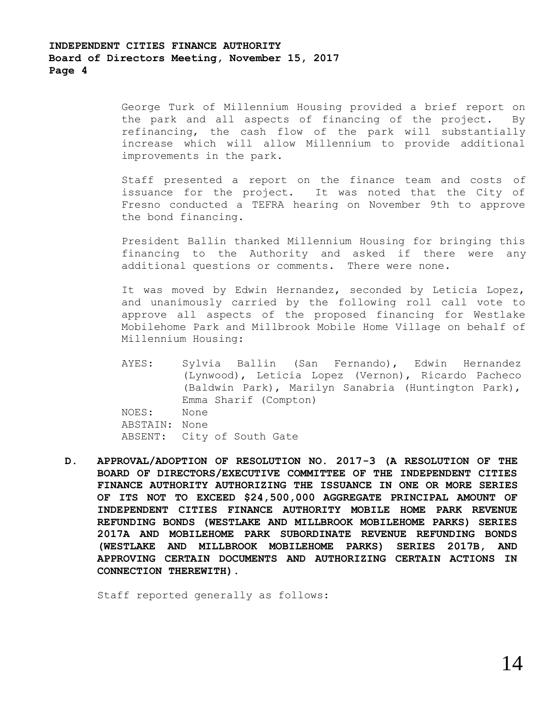George Turk of Millennium Housing provided a brief report on the park and all aspects of financing of the project. By refinancing, the cash flow of the park will substantially increase which will allow Millennium to provide additional improvements in the park.

Staff presented a report on the finance team and costs of issuance for the project. It was noted that the City of Fresno conducted a TEFRA hearing on November 9th to approve the bond financing.

President Ballin thanked Millennium Housing for bringing this financing to the Authority and asked if there were any additional questions or comments. There were none.

It was moved by Edwin Hernandez, seconded by Leticia Lopez, and unanimously carried by the following roll call vote to approve all aspects of the proposed financing for Westlake Mobilehome Park and Millbrook Mobile Home Village on behalf of Millennium Housing:

- AYES: Sylvia Ballin (San Fernando), Edwin Hernandez (Lynwood), Leticia Lopez (Vernon), Ricardo Pacheco (Baldwin Park), Marilyn Sanabria (Huntington Park), Emma Sharif (Compton) NOES: None ABSTAIN: None ABSENT: City of South Gate
- **D. APPROVAL/ADOPTION OF RESOLUTION NO. 2017-3 (A RESOLUTION OF THE BOARD OF DIRECTORS/EXECUTIVE COMMITTEE OF THE INDEPENDENT CITIES FINANCE AUTHORITY AUTHORIZING THE ISSUANCE IN ONE OR MORE SERIES OF ITS NOT TO EXCEED \$24,500,000 AGGREGATE PRINCIPAL AMOUNT OF INDEPENDENT CITIES FINANCE AUTHORITY MOBILE HOME PARK REVENUE REFUNDING BONDS (WESTLAKE AND MILLBROOK MOBILEHOME PARKS) SERIES 2017A AND MOBILEHOME PARK SUBORDINATE REVENUE REFUNDING BONDS (WESTLAKE AND MILLBROOK MOBILEHOME PARKS) SERIES 2017B, AND APPROVING CERTAIN DOCUMENTS AND AUTHORIZING CERTAIN ACTIONS IN CONNECTION THEREWITH).**

Staff reported generally as follows: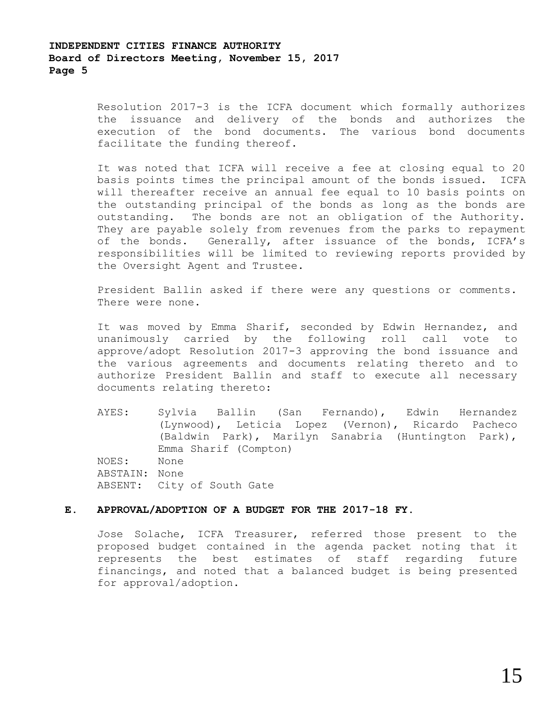## **INDEPENDENT CITIES FINANCE AUTHORITY Board of Directors Meeting, November 15, 2017 Page 5**

Resolution 2017-3 is the ICFA document which formally authorizes the issuance and delivery of the bonds and authorizes the execution of the bond documents. The various bond documents facilitate the funding thereof.

It was noted that ICFA will receive a fee at closing equal to 20 basis points times the principal amount of the bonds issued. ICFA will thereafter receive an annual fee equal to 10 basis points on the outstanding principal of the bonds as long as the bonds are outstanding. The bonds are not an obligation of the Authority. They are payable solely from revenues from the parks to repayment of the bonds. Generally, after issuance of the bonds, ICFA's responsibilities will be limited to reviewing reports provided by the Oversight Agent and Trustee.

President Ballin asked if there were any questions or comments. There were none.

It was moved by Emma Sharif, seconded by Edwin Hernandez, and unanimously carried by the following roll call vote to approve/adopt Resolution 2017-3 approving the bond issuance and the various agreements and documents relating thereto and to authorize President Ballin and staff to execute all necessary documents relating thereto:

AYES: Sylvia Ballin (San Fernando), Edwin Hernandez (Lynwood), Leticia Lopez (Vernon), Ricardo Pacheco (Baldwin Park), Marilyn Sanabria (Huntington Park), Emma Sharif (Compton) NOES: None ABSTAIN: None ABSENT: City of South Gate

#### **E. APPROVAL/ADOPTION OF A BUDGET FOR THE 2017-18 FY.**

Jose Solache, ICFA Treasurer, referred those present to the proposed budget contained in the agenda packet noting that it represents the best estimates of staff regarding future financings, and noted that a balanced budget is being presented for approval/adoption.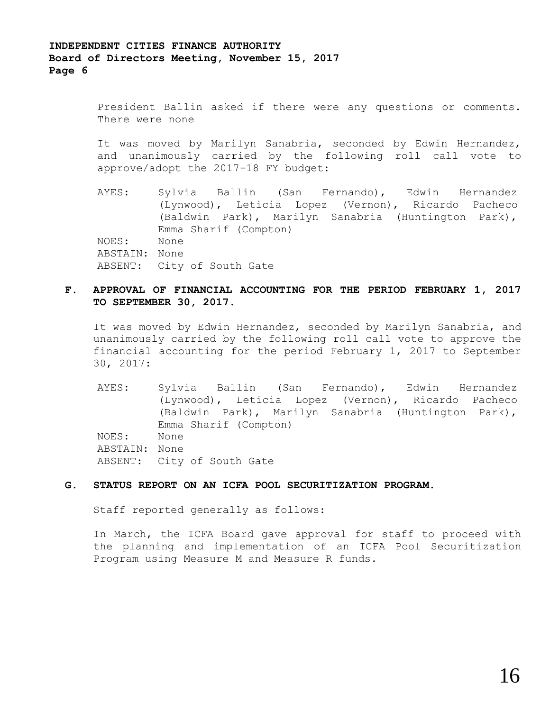President Ballin asked if there were any questions or comments. There were none

It was moved by Marilyn Sanabria, seconded by Edwin Hernandez, and unanimously carried by the following roll call vote to approve/adopt the 2017-18 FY budget:

AYES: Sylvia Ballin (San Fernando), Edwin Hernandez (Lynwood), Leticia Lopez (Vernon), Ricardo Pacheco (Baldwin Park), Marilyn Sanabria (Huntington Park), Emma Sharif (Compton) NOES: None ABSTAIN: None ABSENT: City of South Gate

### **F. APPROVAL OF FINANCIAL ACCOUNTING FOR THE PERIOD FEBRUARY 1, 2017 TO SEPTEMBER 30, 2017.**

It was moved by Edwin Hernandez, seconded by Marilyn Sanabria, and unanimously carried by the following roll call vote to approve the financial accounting for the period February 1, 2017 to September 30, 2017:

AYES: Sylvia Ballin (San Fernando), Edwin Hernandez (Lynwood), Leticia Lopez (Vernon), Ricardo Pacheco (Baldwin Park), Marilyn Sanabria (Huntington Park), Emma Sharif (Compton) NOES: None ABSTAIN: None ABSENT: City of South Gate

#### **G. STATUS REPORT ON AN ICFA POOL SECURITIZATION PROGRAM.**

Staff reported generally as follows:

In March, the ICFA Board gave approval for staff to proceed with the planning and implementation of an ICFA Pool Securitization Program using Measure M and Measure R funds.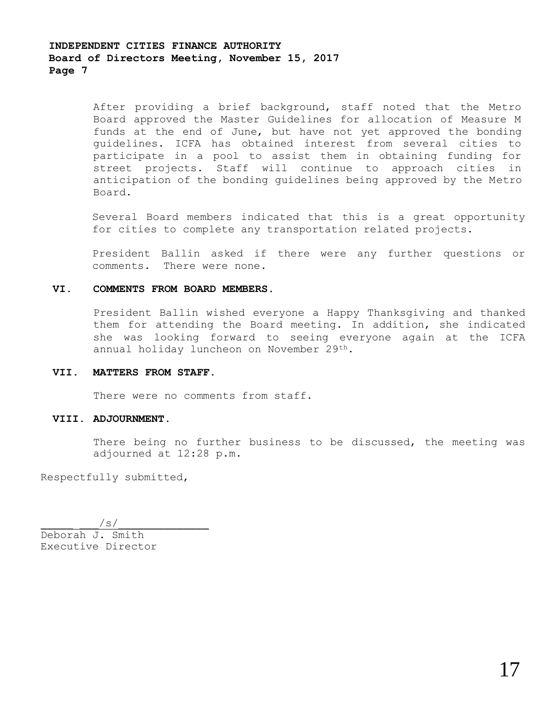After providing a brief background, staff noted that the Metro Board approved the Master Guidelines for allocation of Measure M funds at the end of June, but have not yet approved the bonding guidelines. ICFA has obtained interest from several cities to participate in a pool to assist them in obtaining funding for street projects. Staff will continue to approach cities in anticipation of the bonding guidelines being approved by the Metro Board.

Several Board members indicated that this is a great opportunity for cities to complete any transportation related projects.

President Ballin asked if there were any further questions or comments. There were none.

#### **VI. COMMENTS FROM BOARD MEMBERS.**

President Ballin wished everyone a Happy Thanksgiving and thanked them for attending the Board meeting. In addition, she indicated she was looking forward to seeing everyone again at the ICFA annual holiday luncheon on November 29th.

#### **VII. MATTERS FROM STAFF.**

There were no comments from staff.

#### **VIII. ADJOURNMENT.**

There being no further business to be discussed, the meeting was adjourned at 12:28 p.m.

Respectfully submitted,

 $\sqrt{s}/$ Deborah J. Smith Executive Director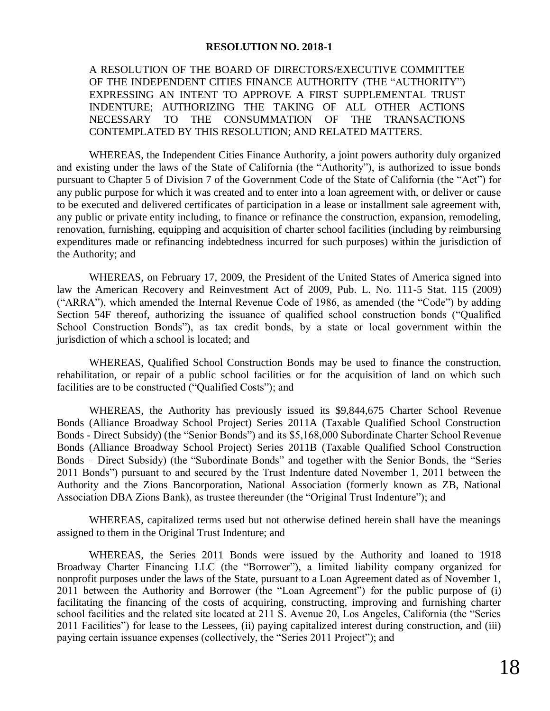## **RESOLUTION NO. 2018-1**

A RESOLUTION OF THE BOARD OF DIRECTORS/EXECUTIVE COMMITTEE OF THE INDEPENDENT CITIES FINANCE AUTHORITY (THE "AUTHORITY") EXPRESSING AN INTENT TO APPROVE A FIRST SUPPLEMENTAL TRUST INDENTURE; AUTHORIZING THE TAKING OF ALL OTHER ACTIONS NECESSARY TO THE CONSUMMATION OF THE TRANSACTIONS CONTEMPLATED BY THIS RESOLUTION; AND RELATED MATTERS.

WHEREAS, the Independent Cities Finance Authority, a joint powers authority duly organized and existing under the laws of the State of California (the "Authority"), is authorized to issue bonds pursuant to Chapter 5 of Division 7 of the Government Code of the State of California (the "Act") for any public purpose for which it was created and to enter into a loan agreement with, or deliver or cause to be executed and delivered certificates of participation in a lease or installment sale agreement with, any public or private entity including, to finance or refinance the construction, expansion, remodeling, renovation, furnishing, equipping and acquisition of charter school facilities (including by reimbursing expenditures made or refinancing indebtedness incurred for such purposes) within the jurisdiction of the Authority; and

WHEREAS, on February 17, 2009, the President of the United States of America signed into law the American Recovery and Reinvestment Act of 2009, Pub. L. No. 111-5 Stat. 115 (2009) ("ARRA"), which amended the Internal Revenue Code of 1986, as amended (the "Code") by adding Section 54F thereof, authorizing the issuance of qualified school construction bonds ("Qualified School Construction Bonds"), as tax credit bonds, by a state or local government within the jurisdiction of which a school is located; and

WHEREAS, Qualified School Construction Bonds may be used to finance the construction, rehabilitation, or repair of a public school facilities or for the acquisition of land on which such facilities are to be constructed ("Qualified Costs"); and

WHEREAS, the Authority has previously issued its \$9,844,675 Charter School Revenue Bonds (Alliance Broadway School Project) Series 2011A (Taxable Qualified School Construction Bonds - Direct Subsidy) (the "Senior Bonds") and its \$5,168,000 Subordinate Charter School Revenue Bonds (Alliance Broadway School Project) Series 2011B (Taxable Qualified School Construction Bonds – Direct Subsidy) (the "Subordinate Bonds" and together with the Senior Bonds, the "Series 2011 Bonds") pursuant to and secured by the Trust Indenture dated November 1, 2011 between the Authority and the Zions Bancorporation, National Association (formerly known as ZB, National Association DBA Zions Bank), as trustee thereunder (the "Original Trust Indenture"); and

WHEREAS, capitalized terms used but not otherwise defined herein shall have the meanings assigned to them in the Original Trust Indenture; and

WHEREAS, the Series 2011 Bonds were issued by the Authority and loaned to 1918 Broadway Charter Financing LLC (the "Borrower"), a limited liability company organized for nonprofit purposes under the laws of the State, pursuant to a Loan Agreement dated as of November 1, 2011 between the Authority and Borrower (the "Loan Agreement") for the public purpose of (i) facilitating the financing of the costs of acquiring, constructing, improving and furnishing charter school facilities and the related site located at 211 S. Avenue 20, Los Angeles, California (the "Series 2011 Facilities") for lease to the Lessees, (ii) paying capitalized interest during construction, and (iii) paying certain issuance expenses (collectively, the "Series 2011 Project"); and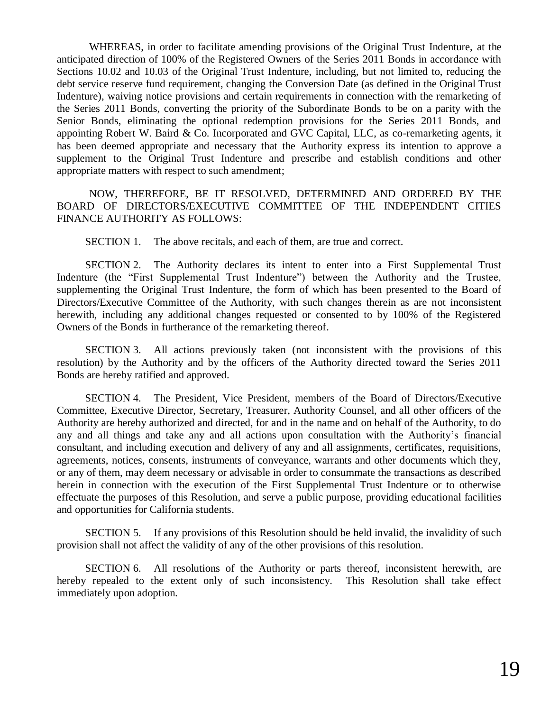WHEREAS, in order to facilitate amending provisions of the Original Trust Indenture, at the anticipated direction of 100% of the Registered Owners of the Series 2011 Bonds in accordance with Sections 10.02 and 10.03 of the Original Trust Indenture, including, but not limited to, reducing the debt service reserve fund requirement, changing the Conversion Date (as defined in the Original Trust Indenture), waiving notice provisions and certain requirements in connection with the remarketing of the Series 2011 Bonds, converting the priority of the Subordinate Bonds to be on a parity with the Senior Bonds, eliminating the optional redemption provisions for the Series 2011 Bonds, and appointing Robert W. Baird & Co. Incorporated and GVC Capital, LLC, as co-remarketing agents, it has been deemed appropriate and necessary that the Authority express its intention to approve a supplement to the Original Trust Indenture and prescribe and establish conditions and other appropriate matters with respect to such amendment;

NOW, THEREFORE, BE IT RESOLVED, DETERMINED AND ORDERED BY THE BOARD OF DIRECTORS/EXECUTIVE COMMITTEE OF THE INDEPENDENT CITIES FINANCE AUTHORITY AS FOLLOWS:

SECTION 1. The above recitals, and each of them, are true and correct.

SECTION 2. The Authority declares its intent to enter into a First Supplemental Trust Indenture (the "First Supplemental Trust Indenture") between the Authority and the Trustee, supplementing the Original Trust Indenture, the form of which has been presented to the Board of Directors/Executive Committee of the Authority, with such changes therein as are not inconsistent herewith, including any additional changes requested or consented to by 100% of the Registered Owners of the Bonds in furtherance of the remarketing thereof.

SECTION 3. All actions previously taken (not inconsistent with the provisions of this resolution) by the Authority and by the officers of the Authority directed toward the Series 2011 Bonds are hereby ratified and approved.

SECTION 4. The President, Vice President, members of the Board of Directors/Executive Committee, Executive Director, Secretary, Treasurer, Authority Counsel, and all other officers of the Authority are hereby authorized and directed, for and in the name and on behalf of the Authority, to do any and all things and take any and all actions upon consultation with the Authority's financial consultant, and including execution and delivery of any and all assignments, certificates, requisitions, agreements, notices, consents, instruments of conveyance, warrants and other documents which they, or any of them, may deem necessary or advisable in order to consummate the transactions as described herein in connection with the execution of the First Supplemental Trust Indenture or to otherwise effectuate the purposes of this Resolution, and serve a public purpose, providing educational facilities and opportunities for California students.

SECTION 5. If any provisions of this Resolution should be held invalid, the invalidity of such provision shall not affect the validity of any of the other provisions of this resolution.

SECTION 6. All resolutions of the Authority or parts thereof, inconsistent herewith, are hereby repealed to the extent only of such inconsistency. This Resolution shall take effect immediately upon adoption.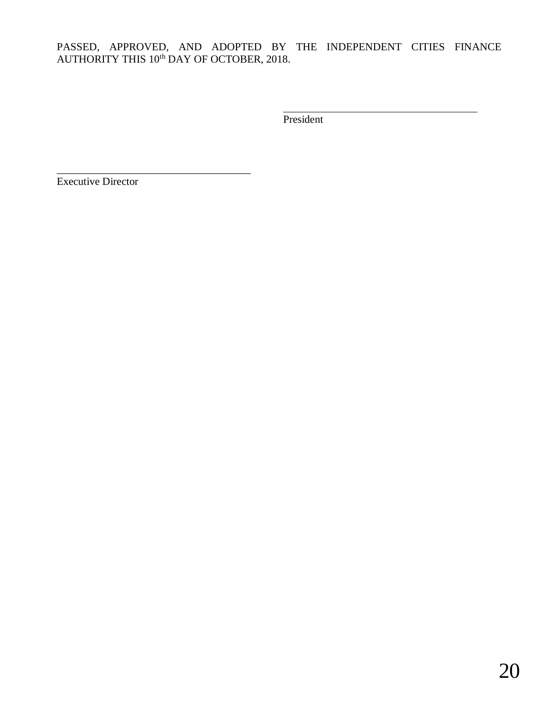## PASSED, APPROVED, AND ADOPTED BY THE INDEPENDENT CITIES FINANCE AUTHORITY THIS 10<sup>th</sup> DAY OF OCTOBER, 2018.

President

Executive Director

\_\_\_\_\_\_\_\_\_\_\_\_\_\_\_\_\_\_\_\_\_\_\_\_\_\_\_\_\_\_\_\_\_\_\_\_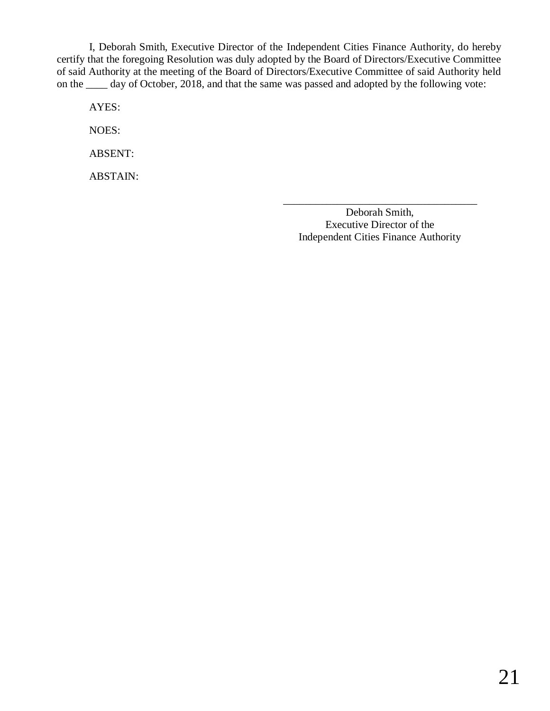I, Deborah Smith, Executive Director of the Independent Cities Finance Authority, do hereby certify that the foregoing Resolution was duly adopted by the Board of Directors/Executive Committee of said Authority at the meeting of the Board of Directors/Executive Committee of said Authority held on the \_\_\_\_ day of October, 2018, and that the same was passed and adopted by the following vote:

AYES:

NOES:

ABSENT:

ABSTAIN:

Deborah Smith, Executive Director of the Independent Cities Finance Authority

\_\_\_\_\_\_\_\_\_\_\_\_\_\_\_\_\_\_\_\_\_\_\_\_\_\_\_\_\_\_\_\_\_\_\_\_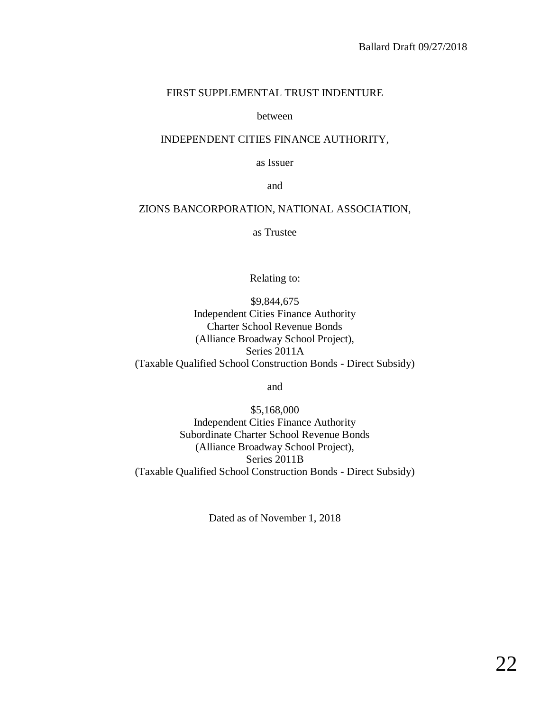## FIRST SUPPLEMENTAL TRUST INDENTURE

### between

## INDEPENDENT CITIES FINANCE AUTHORITY,

as Issuer

and

## ZIONS BANCORPORATION, NATIONAL ASSOCIATION,

as Trustee

Relating to:

\$9,844,675 Independent Cities Finance Authority Charter School Revenue Bonds (Alliance Broadway School Project), Series 2011A (Taxable Qualified School Construction Bonds - Direct Subsidy)

and

\$5,168,000 Independent Cities Finance Authority Subordinate Charter School Revenue Bonds (Alliance Broadway School Project), Series 2011B (Taxable Qualified School Construction Bonds - Direct Subsidy)

Dated as of November 1, 2018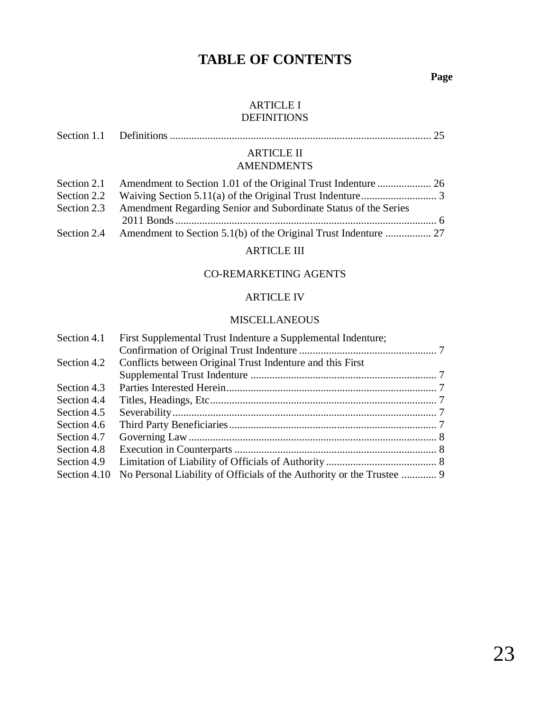# **TABLE OF CONTENTS**

**Page**

## ARTICLE I DEFINITIONS

| <b>ARTICLE II</b>                                                           |  |
|-----------------------------------------------------------------------------|--|
| <b>AMENDMENTS</b>                                                           |  |
|                                                                             |  |
|                                                                             |  |
| Section 2.3 Amendment Regarding Senior and Subordinate Status of the Series |  |
|                                                                             |  |

## ARTICLE III

## CO-REMARKETING AGENTS

## ARTICLE IV

## MISCELLANEOUS

| Section 4.1  | First Supplemental Trust Indenture a Supplemental Indenture; |  |
|--------------|--------------------------------------------------------------|--|
|              |                                                              |  |
| Section 4.2  | Conflicts between Original Trust Indenture and this First    |  |
|              |                                                              |  |
| Section 4.3  |                                                              |  |
| Section 4.4  |                                                              |  |
| Section 4.5  |                                                              |  |
| Section 4.6  |                                                              |  |
| Section 4.7  |                                                              |  |
| Section 4.8  |                                                              |  |
| Section 4.9  |                                                              |  |
| Section 4.10 |                                                              |  |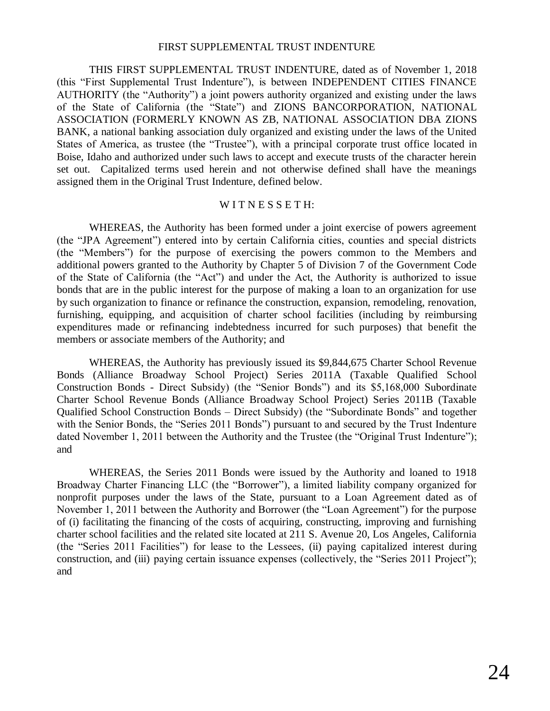### FIRST SUPPLEMENTAL TRUST INDENTURE

THIS FIRST SUPPLEMENTAL TRUST INDENTURE, dated as of November 1, 2018 (this "First Supplemental Trust Indenture"), is between INDEPENDENT CITIES FINANCE AUTHORITY (the "Authority") a joint powers authority organized and existing under the laws of the State of California (the "State") and ZIONS BANCORPORATION, NATIONAL ASSOCIATION (FORMERLY KNOWN AS ZB, NATIONAL ASSOCIATION DBA ZIONS BANK, a national banking association duly organized and existing under the laws of the United States of America, as trustee (the "Trustee"), with a principal corporate trust office located in Boise, Idaho and authorized under such laws to accept and execute trusts of the character herein set out. Capitalized terms used herein and not otherwise defined shall have the meanings assigned them in the Original Trust Indenture, defined below.

## WITNESSETH:

WHEREAS, the Authority has been formed under a joint exercise of powers agreement (the "JPA Agreement") entered into by certain California cities, counties and special districts (the "Members") for the purpose of exercising the powers common to the Members and additional powers granted to the Authority by Chapter 5 of Division 7 of the Government Code of the State of California (the "Act") and under the Act, the Authority is authorized to issue bonds that are in the public interest for the purpose of making a loan to an organization for use by such organization to finance or refinance the construction, expansion, remodeling, renovation, furnishing, equipping, and acquisition of charter school facilities (including by reimbursing expenditures made or refinancing indebtedness incurred for such purposes) that benefit the members or associate members of the Authority; and

WHEREAS, the Authority has previously issued its \$9,844,675 Charter School Revenue Bonds (Alliance Broadway School Project) Series 2011A (Taxable Qualified School Construction Bonds - Direct Subsidy) (the "Senior Bonds") and its \$5,168,000 Subordinate Charter School Revenue Bonds (Alliance Broadway School Project) Series 2011B (Taxable Qualified School Construction Bonds – Direct Subsidy) (the "Subordinate Bonds" and together with the Senior Bonds, the "Series 2011 Bonds") pursuant to and secured by the Trust Indenture dated November 1, 2011 between the Authority and the Trustee (the "Original Trust Indenture"); and

WHEREAS, the Series 2011 Bonds were issued by the Authority and loaned to 1918 Broadway Charter Financing LLC (the "Borrower"), a limited liability company organized for nonprofit purposes under the laws of the State, pursuant to a Loan Agreement dated as of November 1, 2011 between the Authority and Borrower (the "Loan Agreement") for the purpose of (i) facilitating the financing of the costs of acquiring, constructing, improving and furnishing charter school facilities and the related site located at 211 S. Avenue 20, Los Angeles, California (the "Series 2011 Facilities") for lease to the Lessees, (ii) paying capitalized interest during construction, and (iii) paying certain issuance expenses (collectively, the "Series 2011 Project"); and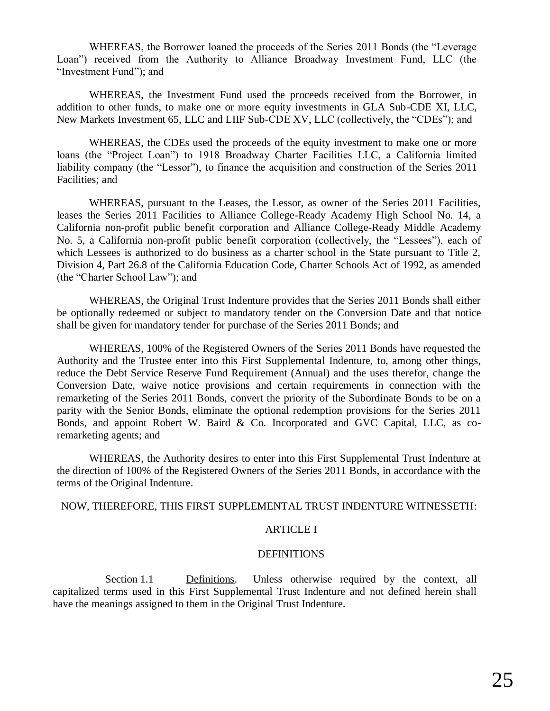WHEREAS, the Borrower loaned the proceeds of the Series 2011 Bonds (the "Leverage Loan") received from the Authority to Alliance Broadway Investment Fund, LLC (the "Investment Fund"); and

WHEREAS, the Investment Fund used the proceeds received from the Borrower, in addition to other funds, to make one or more equity investments in GLA Sub-CDE XI, LLC, New Markets Investment 65, LLC and LIIF Sub-CDE XV, LLC (collectively, the "CDEs"); and

WHEREAS, the CDEs used the proceeds of the equity investment to make one or more loans (the "Project Loan") to 1918 Broadway Charter Facilities LLC, a California limited liability company (the "Lessor"), to finance the acquisition and construction of the Series 2011 Facilities; and

WHEREAS, pursuant to the Leases, the Lessor, as owner of the Series 2011 Facilities, leases the Series 2011 Facilities to Alliance College-Ready Academy High School No. 14, a California non-profit public benefit corporation and Alliance College-Ready Middle Academy No. 5, a California non-profit public benefit corporation (collectively, the "Lessees"), each of which Lessees is authorized to do business as a charter school in the State pursuant to Title 2, Division 4, Part 26.8 of the California Education Code, Charter Schools Act of 1992, as amended (the "Charter School Law"); and

WHEREAS, the Original Trust Indenture provides that the Series 2011 Bonds shall either be optionally redeemed or subject to mandatory tender on the Conversion Date and that notice shall be given for mandatory tender for purchase of the Series 2011 Bonds; and

WHEREAS, 100% of the Registered Owners of the Series 2011 Bonds have requested the Authority and the Trustee enter into this First Supplemental Indenture, to, among other things, reduce the Debt Service Reserve Fund Requirement (Annual) and the uses therefor, change the Conversion Date, waive notice provisions and certain requirements in connection with the remarketing of the Series 2011 Bonds, convert the priority of the Subordinate Bonds to be on a parity with the Senior Bonds, eliminate the optional redemption provisions for the Series 2011 Bonds, and appoint Robert W. Baird & Co. Incorporated and GVC Capital, LLC, as coremarketing agents; and

WHEREAS, the Authority desires to enter into this First Supplemental Trust Indenture at the direction of 100% of the Registered Owners of the Series 2011 Bonds, in accordance with the terms of the Original Indenture.

NOW, THEREFORE, THIS FIRST SUPPLEMENTAL TRUST INDENTURE WITNESSETH:

### ARTICLE I

#### **DEFINITIONS**

Section 1.1 Definitions. Unless otherwise required by the context, all capitalized terms used in this First Supplemental Trust Indenture and not defined herein shall have the meanings assigned to them in the Original Trust Indenture.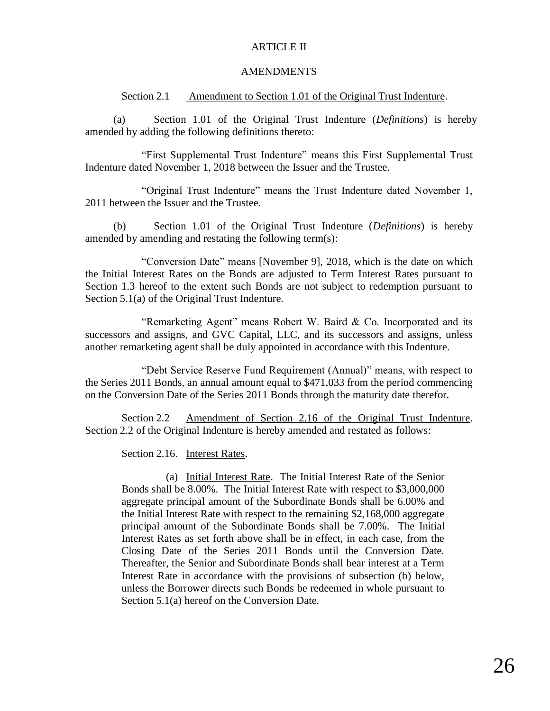## ARTICLE II

### AMENDMENTS

## Section 2.1 Amendment to Section 1.01 of the Original Trust Indenture.

(a) Section 1.01 of the Original Trust Indenture (*Definitions*) is hereby amended by adding the following definitions thereto:

"First Supplemental Trust Indenture" means this First Supplemental Trust Indenture dated November 1, 2018 between the Issuer and the Trustee.

"Original Trust Indenture" means the Trust Indenture dated November 1, 2011 between the Issuer and the Trustee.

(b) Section 1.01 of the Original Trust Indenture (*Definitions*) is hereby amended by amending and restating the following term(s):

"Conversion Date" means [November 9], 2018, which is the date on which the Initial Interest Rates on the Bonds are adjusted to Term Interest Rates pursuant to Section 1.3 hereof to the extent such Bonds are not subject to redemption pursuant to Section 5.1(a) of the Original Trust Indenture.

"Remarketing Agent" means Robert W. Baird & Co. Incorporated and its successors and assigns, and GVC Capital, LLC, and its successors and assigns, unless another remarketing agent shall be duly appointed in accordance with this Indenture.

"Debt Service Reserve Fund Requirement (Annual)" means, with respect to the Series 2011 Bonds, an annual amount equal to \$471,033 from the period commencing on the Conversion Date of the Series 2011 Bonds through the maturity date therefor.

Section 2.2 Amendment of Section 2.16 of the Original Trust Indenture. Section 2.2 of the Original Indenture is hereby amended and restated as follows:

Section 2.16. Interest Rates.

(a) Initial Interest Rate. The Initial Interest Rate of the Senior Bonds shall be 8.00%. The Initial Interest Rate with respect to \$3,000,000 aggregate principal amount of the Subordinate Bonds shall be 6.00% and the Initial Interest Rate with respect to the remaining \$2,168,000 aggregate principal amount of the Subordinate Bonds shall be 7.00%. The Initial Interest Rates as set forth above shall be in effect, in each case, from the Closing Date of the Series 2011 Bonds until the Conversion Date. Thereafter, the Senior and Subordinate Bonds shall bear interest at a Term Interest Rate in accordance with the provisions of subsection (b) below, unless the Borrower directs such Bonds be redeemed in whole pursuant to Section 5.1(a) hereof on the Conversion Date.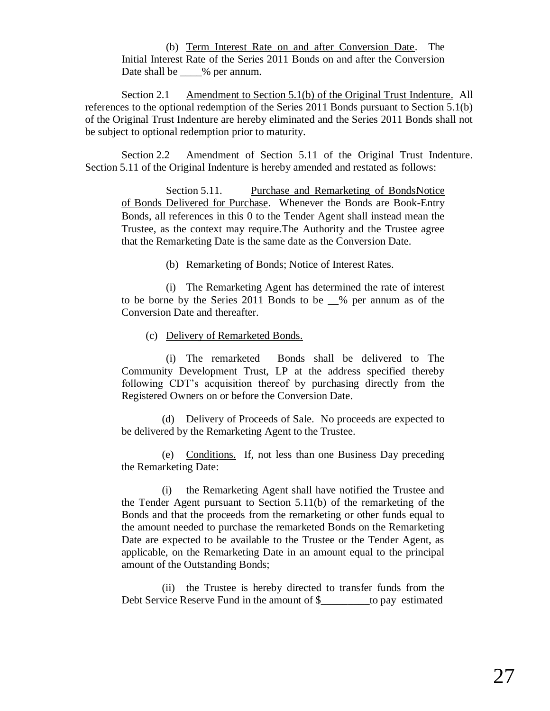(b) Term Interest Rate on and after Conversion Date. The Initial Interest Rate of the Series 2011 Bonds on and after the Conversion Date shall be \_\_\_\_% per annum.

Section 2.1 Amendment to Section 5.1(b) of the Original Trust Indenture. All references to the optional redemption of the Series 2011 Bonds pursuant to Section 5.1(b) of the Original Trust Indenture are hereby eliminated and the Series 2011 Bonds shall not be subject to optional redemption prior to maturity.

<span id="page-26-0"></span>Section 2.2 Amendment of Section 5.11 of the Original Trust Indenture. Section 5.11 of the Original Indenture is hereby amended and restated as follows:

Section 5.11. Purchase and Remarketing of BondsNotice of Bonds Delivered for Purchase. Whenever the Bonds are Book-Entry Bonds, all references in this [0](#page-26-0) to the Tender Agent shall instead mean the Trustee, as the context may require.The Authority and the Trustee agree that the Remarketing Date is the same date as the Conversion Date.

<span id="page-26-1"></span>(b) Remarketing of Bonds; Notice of Interest Rates.

(i) The Remarketing Agent has determined the rate of interest to be borne by the Series 2011 Bonds to be \_\_% per annum as of the Conversion Date and thereafter.

(c) Delivery of Remarketed Bonds.

(i) The remarketed Bonds shall be delivered to The Community Development Trust, LP at the address specified thereby following CDT's acquisition thereof by purchasing directly from the Registered Owners on or before the Conversion Date.

(d) Delivery of Proceeds of Sale. No proceeds are expected to be delivered by the Remarketing Agent to the Trustee.

(e) Conditions. If, not less than one Business Day preceding the Remarketing Date:

(i) the Remarketing Agent shall have notified the Trustee and the Tender Agent pursuant to Section 5.11(b) of the remarketing of the Bonds and that the proceeds from the remarketing or other funds equal to the amount needed to purchase the remarketed Bonds on the Remarketing Date are expected to be available to the Trustee or the Tender Agent, as applicable, on the Remarketing Date in an amount equal to the principal amount of the Outstanding Bonds;

(ii) the Trustee is hereby directed to transfer funds from the Debt Service Reserve Fund in the amount of \$\_\_\_\_\_\_\_\_\_to pay estimated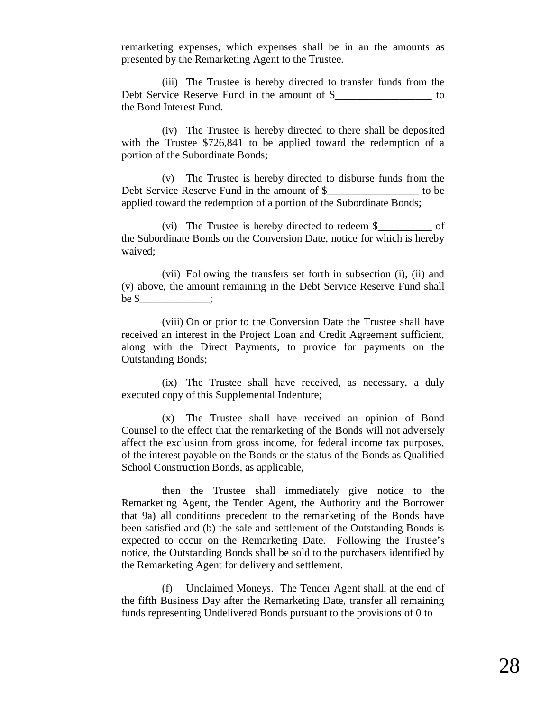remarketing expenses, which expenses shall be in an the amounts as presented by the Remarketing Agent to the Trustee.

(iii) The Trustee is hereby directed to transfer funds from the Debt Service Reserve Fund in the amount of \$ the Bond Interest Fund.

(iv) The Trustee is hereby directed to there shall be deposited with the Trustee \$726,841 to be applied toward the redemption of a portion of the Subordinate Bonds;

(v) The Trustee is hereby directed to disburse funds from the Debt Service Reserve Fund in the amount of \$\_\_\_\_\_\_\_\_\_\_\_\_\_\_\_\_\_\_ to be applied toward the redemption of a portion of the Subordinate Bonds;

(vi) The Trustee is hereby directed to redeem \$ of the Subordinate Bonds on the Conversion Date, notice for which is hereby waived;

(vii) Following the transfers set forth in subsection (i), (ii) and (v) above, the amount remaining in the Debt Service Reserve Fund shall be  $\frac{\gamma}{\gamma}$  ;

(viii) On or prior to the Conversion Date the Trustee shall have received an interest in the Project Loan and Credit Agreement sufficient, along with the Direct Payments, to provide for payments on the Outstanding Bonds;

(ix) The Trustee shall have received, as necessary, a duly executed copy of this Supplemental Indenture;

(x) The Trustee shall have received an opinion of Bond Counsel to the effect that the remarketing of the Bonds will not adversely affect the exclusion from gross income, for federal income tax purposes, of the interest payable on the Bonds or the status of the Bonds as Qualified School Construction Bonds, as applicable,

then the Trustee shall immediately give notice to the Remarketing Agent, the Tender Agent, the Authority and the Borrower that 9a) all conditions precedent to the remarketing of the Bonds have been satisfied and (b) the sale and settlement of the Outstanding Bonds is expected to occur on the Remarketing Date. Following the Trustee's notice, the Outstanding Bonds shall be sold to the purchasers identified by the Remarketing Agent for delivery and settlement.

(f) Unclaimed Moneys. The Tender Agent shall, at the end of the fifth Business Day after the Remarketing Date, transfer all remaining funds representing Undelivered Bonds pursuant to the provisions of 0 to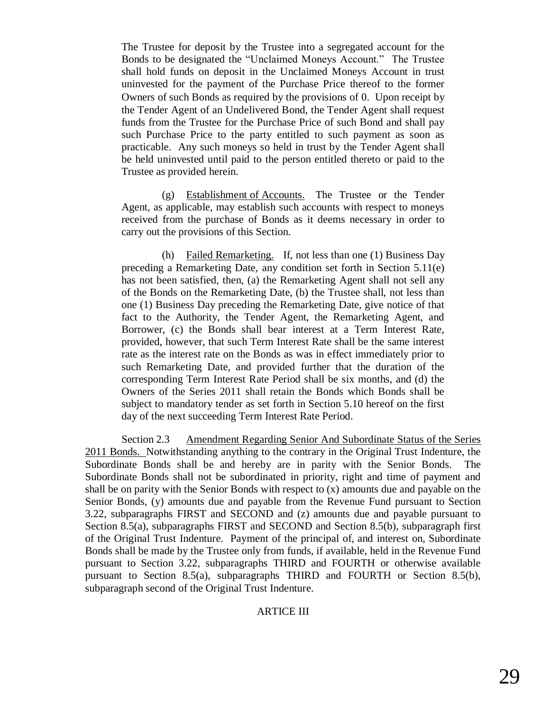The Trustee for deposit by the Trustee into a segregated account for the Bonds to be designated the "Unclaimed Moneys Account." The Trustee shall hold funds on deposit in the Unclaimed Moneys Account in trust uninvested for the payment of the Purchase Price thereof to the former Owners of such Bonds as required by the provisions of [0.](#page-26-1) Upon receipt by the Tender Agent of an Undelivered Bond, the Tender Agent shall request funds from the Trustee for the Purchase Price of such Bond and shall pay such Purchase Price to the party entitled to such payment as soon as practicable. Any such moneys so held in trust by the Tender Agent shall be held uninvested until paid to the person entitled thereto or paid to the Trustee as provided herein.

(g) Establishment of Accounts. The Trustee or the Tender Agent, as applicable, may establish such accounts with respect to moneys received from the purchase of Bonds as it deems necessary in order to carry out the provisions of this Section.

(h) Failed Remarketing. If, not less than one (1) Business Day preceding a Remarketing Date, any condition set forth in Section 5.11(e) has not been satisfied, then, (a) the Remarketing Agent shall not sell any of the Bonds on the Remarketing Date, (b) the Trustee shall, not less than one (1) Business Day preceding the Remarketing Date, give notice of that fact to the Authority, the Tender Agent, the Remarketing Agent, and Borrower, (c) the Bonds shall bear interest at a Term Interest Rate, provided, however, that such Term Interest Rate shall be the same interest rate as the interest rate on the Bonds as was in effect immediately prior to such Remarketing Date, and provided further that the duration of the corresponding Term Interest Rate Period shall be six months, and (d) the Owners of the Series 2011 shall retain the Bonds which Bonds shall be subject to mandatory tender as set forth in Section 5.10 hereof on the first day of the next succeeding Term Interest Rate Period.

Section 2.3 Amendment Regarding Senior And Subordinate Status of the Series 2011 Bonds. Notwithstanding anything to the contrary in the Original Trust Indenture, the Subordinate Bonds shall be and hereby are in parity with the Senior Bonds. The Subordinate Bonds shall not be subordinated in priority, right and time of payment and shall be on parity with the Senior Bonds with respect to (x) amounts due and payable on the Senior Bonds, (y) amounts due and payable from the Revenue Fund pursuant to Section 3.22, subparagraphs FIRST and SECOND and (z) amounts due and payable pursuant to Section 8.5(a), subparagraphs FIRST and SECOND and Section 8.5(b), subparagraph first of the Original Trust Indenture. Payment of the principal of, and interest on, Subordinate Bonds shall be made by the Trustee only from funds, if available, held in the Revenue Fund pursuant to Section 3.22, subparagraphs THIRD and FOURTH or otherwise available pursuant to Section 8.5(a), subparagraphs THIRD and FOURTH or Section 8.5(b), subparagraph second of the Original Trust Indenture.

### ARTICE III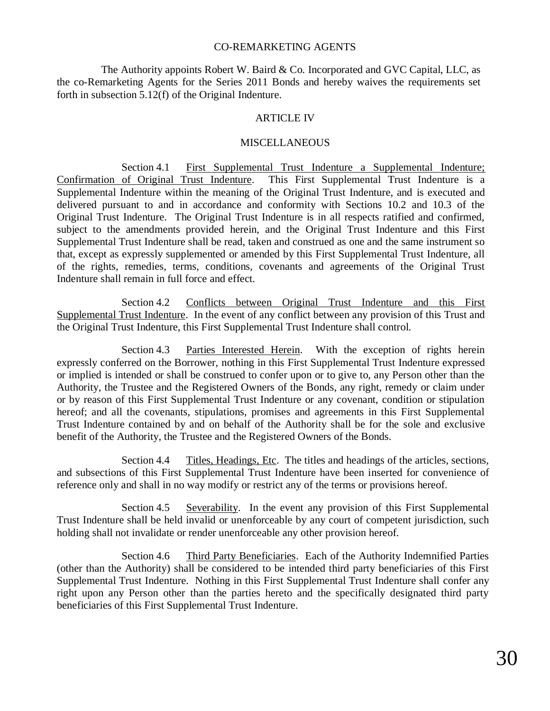## CO-REMARKETING AGENTS

The Authority appoints Robert W. Baird & Co. Incorporated and GVC Capital, LLC, as the co-Remarketing Agents for the Series 2011 Bonds and hereby waives the requirements set forth in subsection 5.12(f) of the Original Indenture.

### ARTICLE IV

### **MISCELLANEOUS**

Section 4.1 First Supplemental Trust Indenture a Supplemental Indenture; Confirmation of Original Trust Indenture. This First Supplemental Trust Indenture is a Supplemental Indenture within the meaning of the Original Trust Indenture, and is executed and delivered pursuant to and in accordance and conformity with Sections 10.2 and 10.3 of the Original Trust Indenture. The Original Trust Indenture is in all respects ratified and confirmed, subject to the amendments provided herein, and the Original Trust Indenture and this First Supplemental Trust Indenture shall be read, taken and construed as one and the same instrument so that, except as expressly supplemented or amended by this First Supplemental Trust Indenture, all of the rights, remedies, terms, conditions, covenants and agreements of the Original Trust Indenture shall remain in full force and effect.

Section 4.2 Conflicts between Original Trust Indenture and this First Supplemental Trust Indenture. In the event of any conflict between any provision of this Trust and the Original Trust Indenture, this First Supplemental Trust Indenture shall control.

Section 4.3 Parties Interested Herein. With the exception of rights herein expressly conferred on the Borrower, nothing in this First Supplemental Trust Indenture expressed or implied is intended or shall be construed to confer upon or to give to, any Person other than the Authority, the Trustee and the Registered Owners of the Bonds, any right, remedy or claim under or by reason of this First Supplemental Trust Indenture or any covenant, condition or stipulation hereof; and all the covenants, stipulations, promises and agreements in this First Supplemental Trust Indenture contained by and on behalf of the Authority shall be for the sole and exclusive benefit of the Authority, the Trustee and the Registered Owners of the Bonds.

Section 4.4 Titles, Headings, Etc. The titles and headings of the articles, sections, and subsections of this First Supplemental Trust Indenture have been inserted for convenience of reference only and shall in no way modify or restrict any of the terms or provisions hereof.

Section 4.5 Severability. In the event any provision of this First Supplemental Trust Indenture shall be held invalid or unenforceable by any court of competent jurisdiction, such holding shall not invalidate or render unenforceable any other provision hereof.

Section 4.6 Third Party Beneficiaries. Each of the Authority Indemnified Parties (other than the Authority) shall be considered to be intended third party beneficiaries of this First Supplemental Trust Indenture. Nothing in this First Supplemental Trust Indenture shall confer any right upon any Person other than the parties hereto and the specifically designated third party beneficiaries of this First Supplemental Trust Indenture.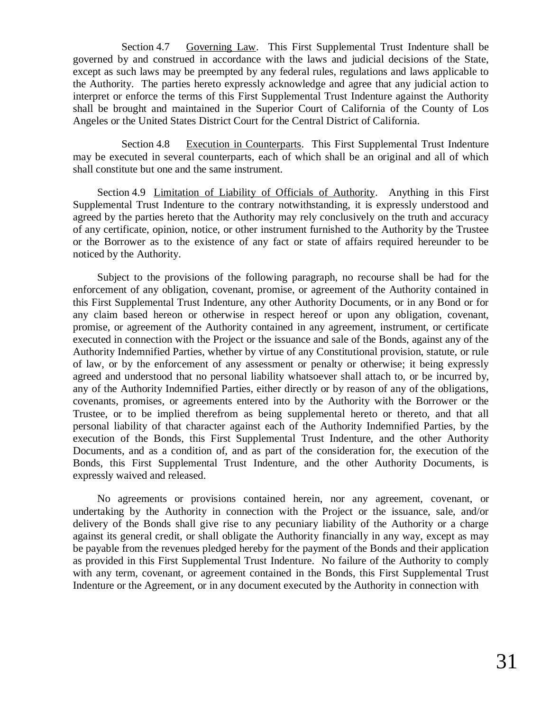Section 4.7 Governing Law. This First Supplemental Trust Indenture shall be governed by and construed in accordance with the laws and judicial decisions of the State, except as such laws may be preempted by any federal rules, regulations and laws applicable to the Authority. The parties hereto expressly acknowledge and agree that any judicial action to interpret or enforce the terms of this First Supplemental Trust Indenture against the Authority shall be brought and maintained in the Superior Court of California of the County of Los Angeles or the United States District Court for the Central District of California.

Section 4.8 Execution in Counterparts. This First Supplemental Trust Indenture may be executed in several counterparts, each of which shall be an original and all of which shall constitute but one and the same instrument.

Section 4.9 Limitation of Liability of Officials of Authority. Anything in this First Supplemental Trust Indenture to the contrary notwithstanding, it is expressly understood and agreed by the parties hereto that the Authority may rely conclusively on the truth and accuracy of any certificate, opinion, notice, or other instrument furnished to the Authority by the Trustee or the Borrower as to the existence of any fact or state of affairs required hereunder to be noticed by the Authority.

Subject to the provisions of the following paragraph, no recourse shall be had for the enforcement of any obligation, covenant, promise, or agreement of the Authority contained in this First Supplemental Trust Indenture, any other Authority Documents, or in any Bond or for any claim based hereon or otherwise in respect hereof or upon any obligation, covenant, promise, or agreement of the Authority contained in any agreement, instrument, or certificate executed in connection with the Project or the issuance and sale of the Bonds, against any of the Authority Indemnified Parties, whether by virtue of any Constitutional provision, statute, or rule of law, or by the enforcement of any assessment or penalty or otherwise; it being expressly agreed and understood that no personal liability whatsoever shall attach to, or be incurred by, any of the Authority Indemnified Parties, either directly or by reason of any of the obligations, covenants, promises, or agreements entered into by the Authority with the Borrower or the Trustee, or to be implied therefrom as being supplemental hereto or thereto, and that all personal liability of that character against each of the Authority Indemnified Parties, by the execution of the Bonds, this First Supplemental Trust Indenture, and the other Authority Documents, and as a condition of, and as part of the consideration for, the execution of the Bonds, this First Supplemental Trust Indenture, and the other Authority Documents, is expressly waived and released.

No agreements or provisions contained herein, nor any agreement, covenant, or undertaking by the Authority in connection with the Project or the issuance, sale, and/or delivery of the Bonds shall give rise to any pecuniary liability of the Authority or a charge against its general credit, or shall obligate the Authority financially in any way, except as may be payable from the revenues pledged hereby for the payment of the Bonds and their application as provided in this First Supplemental Trust Indenture. No failure of the Authority to comply with any term, covenant, or agreement contained in the Bonds, this First Supplemental Trust Indenture or the Agreement, or in any document executed by the Authority in connection with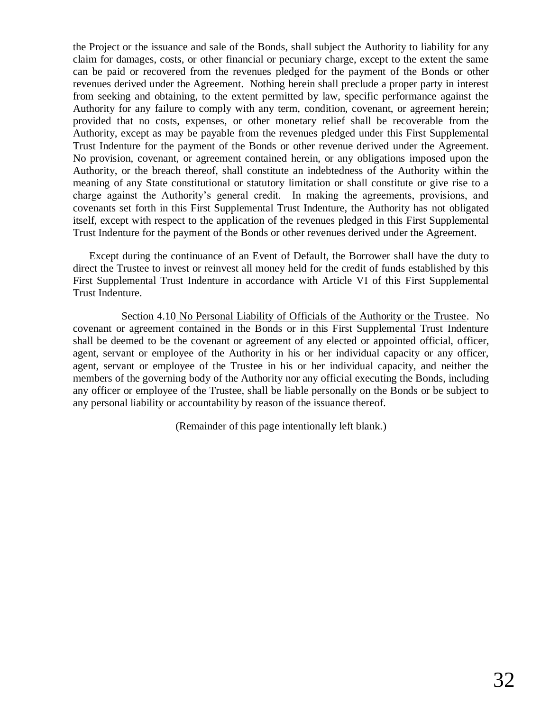the Project or the issuance and sale of the Bonds, shall subject the Authority to liability for any claim for damages, costs, or other financial or pecuniary charge, except to the extent the same can be paid or recovered from the revenues pledged for the payment of the Bonds or other revenues derived under the Agreement. Nothing herein shall preclude a proper party in interest from seeking and obtaining, to the extent permitted by law, specific performance against the Authority for any failure to comply with any term, condition, covenant, or agreement herein; provided that no costs, expenses, or other monetary relief shall be recoverable from the Authority, except as may be payable from the revenues pledged under this First Supplemental Trust Indenture for the payment of the Bonds or other revenue derived under the Agreement. No provision, covenant, or agreement contained herein, or any obligations imposed upon the Authority, or the breach thereof, shall constitute an indebtedness of the Authority within the meaning of any State constitutional or statutory limitation or shall constitute or give rise to a charge against the Authority's general credit. In making the agreements, provisions, and covenants set forth in this First Supplemental Trust Indenture, the Authority has not obligated itself, except with respect to the application of the revenues pledged in this First Supplemental Trust Indenture for the payment of the Bonds or other revenues derived under the Agreement.

Except during the continuance of an Event of Default, the Borrower shall have the duty to direct the Trustee to invest or reinvest all money held for the credit of funds established by this First Supplemental Trust Indenture in accordance with Article VI of this First Supplemental Trust Indenture.

Section 4.10 No Personal Liability of Officials of the Authority or the Trustee. No covenant or agreement contained in the Bonds or in this First Supplemental Trust Indenture shall be deemed to be the covenant or agreement of any elected or appointed official, officer, agent, servant or employee of the Authority in his or her individual capacity or any officer, agent, servant or employee of the Trustee in his or her individual capacity, and neither the members of the governing body of the Authority nor any official executing the Bonds, including any officer or employee of the Trustee, shall be liable personally on the Bonds or be subject to any personal liability or accountability by reason of the issuance thereof.

(Remainder of this page intentionally left blank.)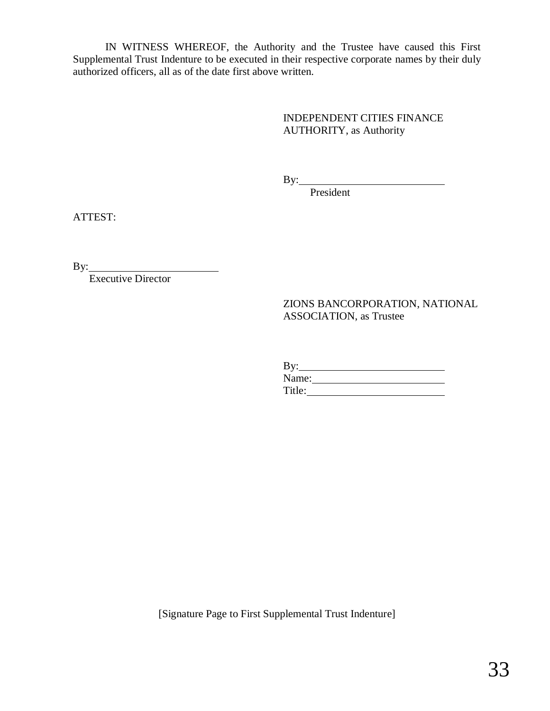IN WITNESS WHEREOF, the Authority and the Trustee have caused this First Supplemental Trust Indenture to be executed in their respective corporate names by their duly authorized officers, all as of the date first above written.

> INDEPENDENT CITIES FINANCE AUTHORITY, as Authority

By:

President

ATTEST:

By:

Executive Director

ZIONS BANCORPORATION, NATIONAL ASSOCIATION, as Trustee

By: Name: Title:

[Signature Page to First Supplemental Trust Indenture]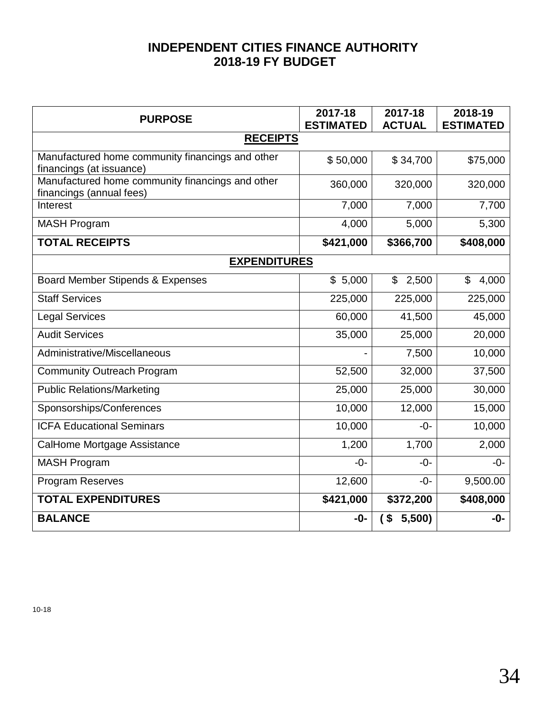# **INDEPENDENT CITIES FINANCE AUTHORITY 2018-19 FY BUDGET**

| <b>PURPOSE</b>                                                               | 2017-18<br><b>ESTIMATED</b> | 2017-18<br><b>ACTUAL</b> | 2018-19<br><b>ESTIMATED</b> |
|------------------------------------------------------------------------------|-----------------------------|--------------------------|-----------------------------|
| <b>RECEIPTS</b>                                                              |                             |                          |                             |
| Manufactured home community financings and other<br>financings (at issuance) | \$50,000                    | \$34,700                 | \$75,000                    |
| Manufactured home community financings and other<br>financings (annual fees) | 360,000                     | 320,000                  | 320,000                     |
| Interest                                                                     | 7,000                       | 7,000                    | 7,700                       |
| <b>MASH Program</b>                                                          | 4,000                       | 5,000                    | 5,300                       |
| <b>TOTAL RECEIPTS</b>                                                        | \$421,000                   | \$366,700                | \$408,000                   |
| <b>EXPENDITURES</b>                                                          |                             |                          |                             |
| Board Member Stipends & Expenses                                             | \$5,000                     | 2,500<br>$\$\$           | \$<br>4,000                 |
| <b>Staff Services</b>                                                        | 225,000                     | 225,000                  | 225,000                     |
| <b>Legal Services</b>                                                        | 60,000                      | 41,500                   | 45,000                      |
| <b>Audit Services</b>                                                        | 35,000                      | 25,000                   | 20,000                      |
| Administrative/Miscellaneous                                                 |                             | 7,500                    | 10,000                      |
| <b>Community Outreach Program</b>                                            | 52,500                      | 32,000                   | 37,500                      |
| <b>Public Relations/Marketing</b>                                            | 25,000                      | 25,000                   | 30,000                      |
| Sponsorships/Conferences                                                     | 10,000                      | 12,000                   | 15,000                      |
| <b>ICFA Educational Seminars</b>                                             | 10,000                      | $-0-$                    | 10,000                      |
| CalHome Mortgage Assistance                                                  | 1,200                       | 1,700                    | 2,000                       |
| <b>MASH Program</b>                                                          | $-0-$                       | $-0-$                    | $-0-$                       |
| <b>Program Reserves</b>                                                      | 12,600                      | $-0-$                    | 9,500.00                    |
| <b>TOTAL EXPENDITURES</b>                                                    | \$421,000                   | \$372,200                | \$408,000                   |
| <b>BALANCE</b>                                                               | $-0-$                       | 5,500)<br>\$             | -0-                         |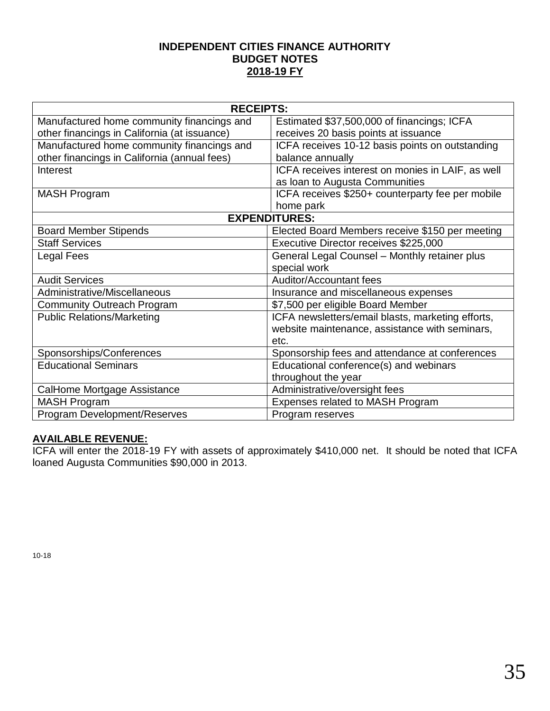## **INDEPENDENT CITIES FINANCE AUTHORITY BUDGET NOTES 2018-19 FY**

| <b>RECEIPTS:</b>                             |                                                   |  |
|----------------------------------------------|---------------------------------------------------|--|
| Manufactured home community financings and   | Estimated \$37,500,000 of financings; ICFA        |  |
| other financings in California (at issuance) | receives 20 basis points at issuance              |  |
| Manufactured home community financings and   | ICFA receives 10-12 basis points on outstanding   |  |
| other financings in California (annual fees) | balance annually                                  |  |
| Interest                                     | ICFA receives interest on monies in LAIF, as well |  |
|                                              | as loan to Augusta Communities                    |  |
| <b>MASH Program</b>                          | ICFA receives \$250+ counterparty fee per mobile  |  |
|                                              | home park                                         |  |
|                                              | <b>EXPENDITURES:</b>                              |  |
| <b>Board Member Stipends</b>                 | Elected Board Members receive \$150 per meeting   |  |
| <b>Staff Services</b>                        | Executive Director receives \$225,000             |  |
| Legal Fees                                   | General Legal Counsel - Monthly retainer plus     |  |
|                                              | special work                                      |  |
| <b>Audit Services</b>                        | <b>Auditor/Accountant fees</b>                    |  |
| Administrative/Miscellaneous                 | Insurance and miscellaneous expenses              |  |
| <b>Community Outreach Program</b>            | \$7,500 per eligible Board Member                 |  |
| <b>Public Relations/Marketing</b>            | ICFA newsletters/email blasts, marketing efforts, |  |
|                                              | website maintenance, assistance with seminars,    |  |
|                                              | etc.                                              |  |
| Sponsorships/Conferences                     | Sponsorship fees and attendance at conferences    |  |
| <b>Educational Seminars</b>                  | Educational conference(s) and webinars            |  |
|                                              | throughout the year                               |  |
| CalHome Mortgage Assistance                  | Administrative/oversight fees                     |  |
| <b>MASH Program</b>                          | Expenses related to MASH Program                  |  |
| Program Development/Reserves                 | Program reserves                                  |  |

## **AVAILABLE REVENUE:**

ICFA will enter the 2018-19 FY with assets of approximately \$410,000 net. It should be noted that ICFA loaned Augusta Communities \$90,000 in 2013.

10-18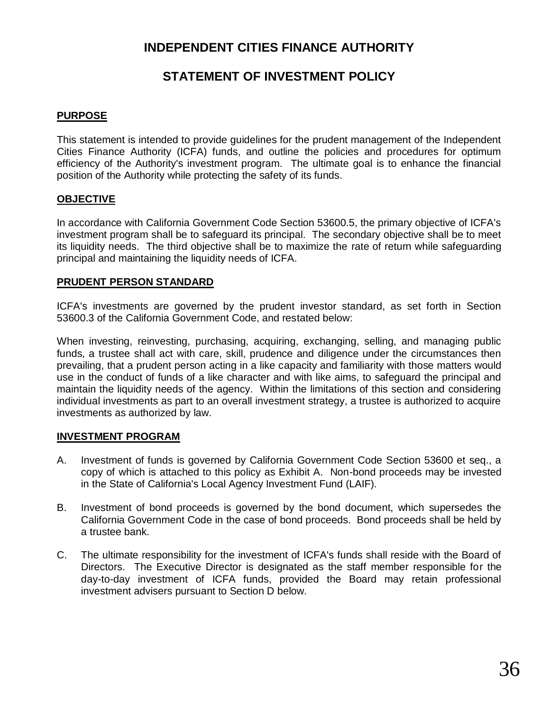# **INDEPENDENT CITIES FINANCE AUTHORITY**

# **STATEMENT OF INVESTMENT POLICY**

## **PURPOSE**

This statement is intended to provide guidelines for the prudent management of the Independent Cities Finance Authority (ICFA) funds, and outline the policies and procedures for optimum efficiency of the Authority's investment program. The ultimate goal is to enhance the financial position of the Authority while protecting the safety of its funds.

## **OBJECTIVE**

In accordance with California Government Code Section 53600.5, the primary objective of ICFA's investment program shall be to safeguard its principal. The secondary objective shall be to meet its liquidity needs. The third objective shall be to maximize the rate of return while safeguarding principal and maintaining the liquidity needs of ICFA.

## **PRUDENT PERSON STANDARD**

ICFA's investments are governed by the prudent investor standard, as set forth in Section 53600.3 of the California Government Code, and restated below:

When investing, reinvesting, purchasing, acquiring, exchanging, selling, and managing public funds, a trustee shall act with care, skill, prudence and diligence under the circumstances then prevailing, that a prudent person acting in a like capacity and familiarity with those matters would use in the conduct of funds of a like character and with like aims, to safeguard the principal and maintain the liquidity needs of the agency. Within the limitations of this section and considering individual investments as part to an overall investment strategy, a trustee is authorized to acquire investments as authorized by law.

## **INVESTMENT PROGRAM**

- A. Investment of funds is governed by California Government Code Section 53600 et seq., a copy of which is attached to this policy as Exhibit A. Non-bond proceeds may be invested in the State of California's Local Agency Investment Fund (LAIF).
- B. Investment of bond proceeds is governed by the bond document, which supersedes the California Government Code in the case of bond proceeds. Bond proceeds shall be held by a trustee bank.
- C. The ultimate responsibility for the investment of ICFA's funds shall reside with the Board of Directors. The Executive Director is designated as the staff member responsible for the day-to-day investment of ICFA funds, provided the Board may retain professional investment advisers pursuant to Section D below.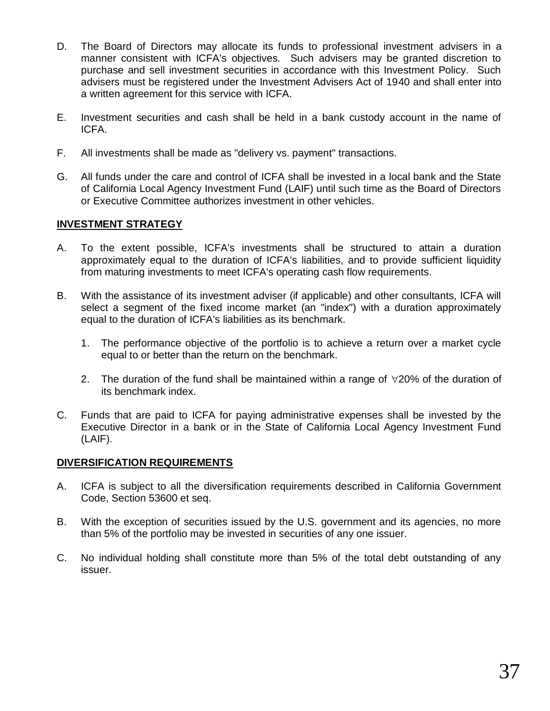- D. The Board of Directors may allocate its funds to professional investment advisers in a manner consistent with ICFA's objectives. Such advisers may be granted discretion to purchase and sell investment securities in accordance with this Investment Policy. Such advisers must be registered under the Investment Advisers Act of 1940 and shall enter into a written agreement for this service with ICFA.
- E. Investment securities and cash shall be held in a bank custody account in the name of ICFA.
- F. All investments shall be made as "delivery vs. payment" transactions.
- G. All funds under the care and control of ICFA shall be invested in a local bank and the State of California Local Agency Investment Fund (LAIF) until such time as the Board of Directors or Executive Committee authorizes investment in other vehicles.

## **INVESTMENT STRATEGY**

- A. To the extent possible, ICFA's investments shall be structured to attain a duration approximately equal to the duration of ICFA's liabilities, and to provide sufficient liquidity from maturing investments to meet ICFA's operating cash flow requirements.
- B. With the assistance of its investment adviser (if applicable) and other consultants, ICFA will select a segment of the fixed income market (an "index") with a duration approximately equal to the duration of ICFA's liabilities as its benchmark.
	- 1. The performance objective of the portfolio is to achieve a return over a market cycle equal to or better than the return on the benchmark.
	- 2. The duration of the fund shall be maintained within a range of  $\forall$ 20% of the duration of its benchmark index.
- C. Funds that are paid to ICFA for paying administrative expenses shall be invested by the Executive Director in a bank or in the State of California Local Agency Investment Fund (LAIF).

## **DIVERSIFICATION REQUIREMENTS**

- A. ICFA is subject to all the diversification requirements described in California Government Code, Section 53600 et seq.
- B. With the exception of securities issued by the U.S. government and its agencies, no more than 5% of the portfolio may be invested in securities of any one issuer.
- C. No individual holding shall constitute more than 5% of the total debt outstanding of any issuer.